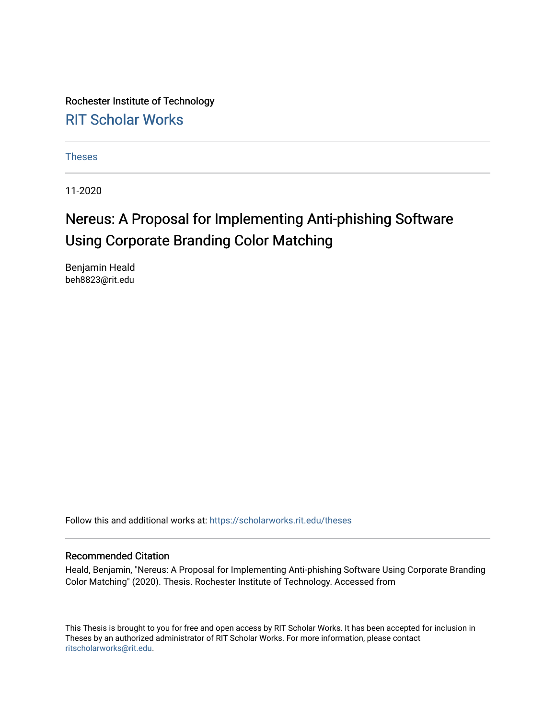Rochester Institute of Technology [RIT Scholar Works](https://scholarworks.rit.edu/)

[Theses](https://scholarworks.rit.edu/theses) 

11-2020

# Nereus: A Proposal for Implementing Anti-phishing Software Using Corporate Branding Color Matching

Benjamin Heald beh8823@rit.edu

Follow this and additional works at: [https://scholarworks.rit.edu/theses](https://scholarworks.rit.edu/theses?utm_source=scholarworks.rit.edu%2Ftheses%2F10644&utm_medium=PDF&utm_campaign=PDFCoverPages) 

#### Recommended Citation

Heald, Benjamin, "Nereus: A Proposal for Implementing Anti-phishing Software Using Corporate Branding Color Matching" (2020). Thesis. Rochester Institute of Technology. Accessed from

This Thesis is brought to you for free and open access by RIT Scholar Works. It has been accepted for inclusion in Theses by an authorized administrator of RIT Scholar Works. For more information, please contact [ritscholarworks@rit.edu](mailto:ritscholarworks@rit.edu).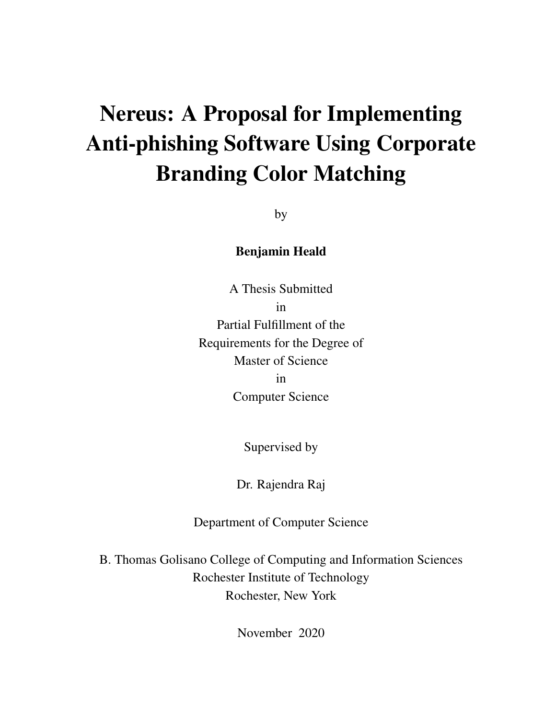# Nereus: A Proposal for Implementing Anti-phishing Software Using Corporate Branding Color Matching

by

### Benjamin Heald

A Thesis Submitted in Partial Fulfillment of the Requirements for the Degree of Master of Science in Computer Science

Supervised by

Dr. Rajendra Raj

Department of Computer Science

B. Thomas Golisano College of Computing and Information Sciences Rochester Institute of Technology Rochester, New York

November 2020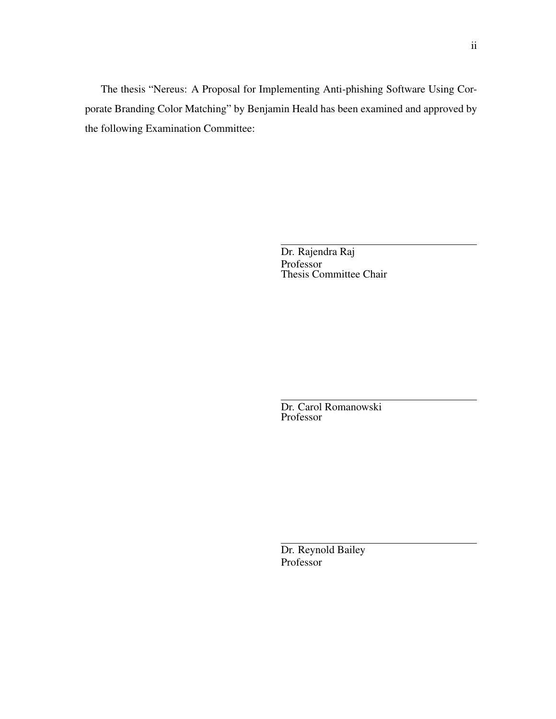The thesis "Nereus: A Proposal for Implementing Anti-phishing Software Using Corporate Branding Color Matching" by Benjamin Heald has been examined and approved by the following Examination Committee:

> Dr. Rajendra Raj Professor Thesis Committee Chair

Dr. Carol Romanowski Professor

Dr. Reynold Bailey Professor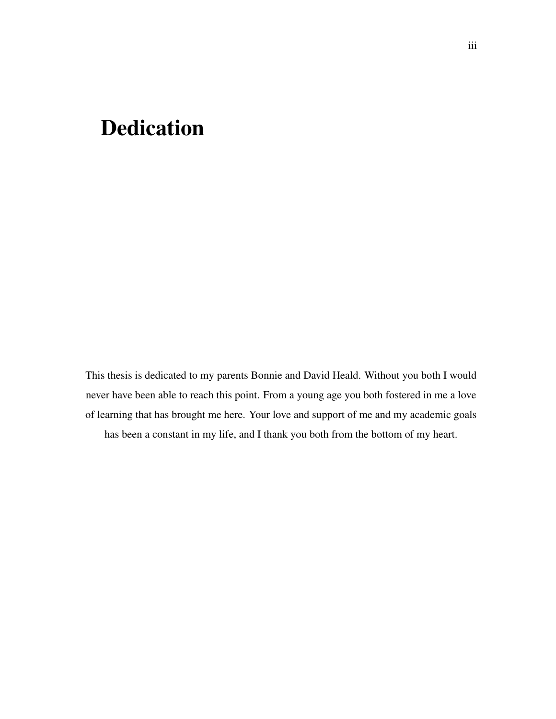# Dedication

This thesis is dedicated to my parents Bonnie and David Heald. Without you both I would never have been able to reach this point. From a young age you both fostered in me a love of learning that has brought me here. Your love and support of me and my academic goals has been a constant in my life, and I thank you both from the bottom of my heart.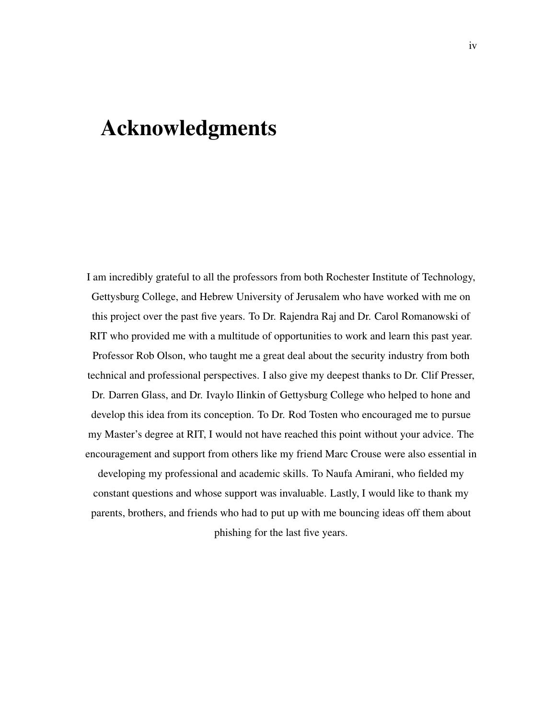# Acknowledgments

I am incredibly grateful to all the professors from both Rochester Institute of Technology, Gettysburg College, and Hebrew University of Jerusalem who have worked with me on this project over the past five years. To Dr. Rajendra Raj and Dr. Carol Romanowski of RIT who provided me with a multitude of opportunities to work and learn this past year. Professor Rob Olson, who taught me a great deal about the security industry from both technical and professional perspectives. I also give my deepest thanks to Dr. Clif Presser, Dr. Darren Glass, and Dr. Ivaylo Ilinkin of Gettysburg College who helped to hone and develop this idea from its conception. To Dr. Rod Tosten who encouraged me to pursue my Master's degree at RIT, I would not have reached this point without your advice. The encouragement and support from others like my friend Marc Crouse were also essential in developing my professional and academic skills. To Naufa Amirani, who fielded my

constant questions and whose support was invaluable. Lastly, I would like to thank my parents, brothers, and friends who had to put up with me bouncing ideas off them about phishing for the last five years.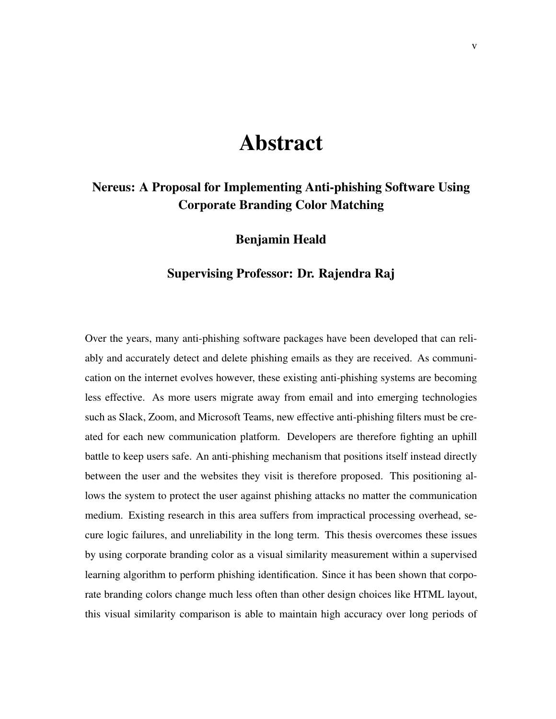# Abstract

### Nereus: A Proposal for Implementing Anti-phishing Software Using Corporate Branding Color Matching

#### Benjamin Heald

#### Supervising Professor: Dr. Rajendra Raj

Over the years, many anti-phishing software packages have been developed that can reliably and accurately detect and delete phishing emails as they are received. As communication on the internet evolves however, these existing anti-phishing systems are becoming less effective. As more users migrate away from email and into emerging technologies such as Slack, Zoom, and Microsoft Teams, new effective anti-phishing filters must be created for each new communication platform. Developers are therefore fighting an uphill battle to keep users safe. An anti-phishing mechanism that positions itself instead directly between the user and the websites they visit is therefore proposed. This positioning allows the system to protect the user against phishing attacks no matter the communication medium. Existing research in this area suffers from impractical processing overhead, secure logic failures, and unreliability in the long term. This thesis overcomes these issues by using corporate branding color as a visual similarity measurement within a supervised learning algorithm to perform phishing identification. Since it has been shown that corporate branding colors change much less often than other design choices like HTML layout, this visual similarity comparison is able to maintain high accuracy over long periods of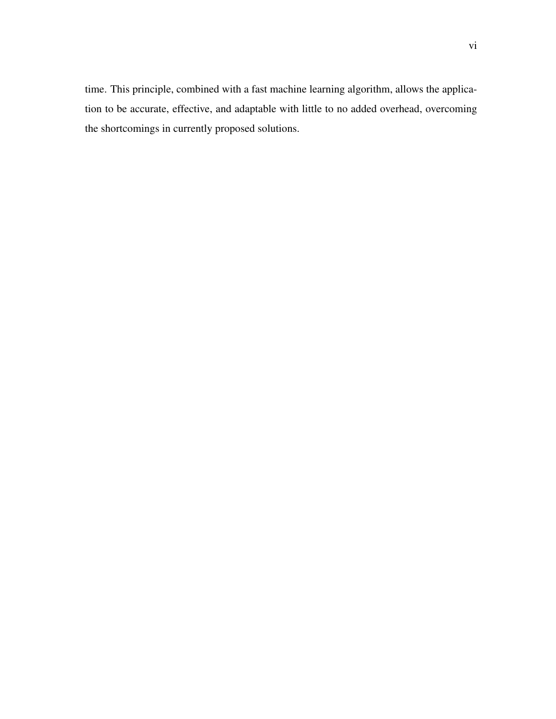time. This principle, combined with a fast machine learning algorithm, allows the application to be accurate, effective, and adaptable with little to no added overhead, overcoming the shortcomings in currently proposed solutions.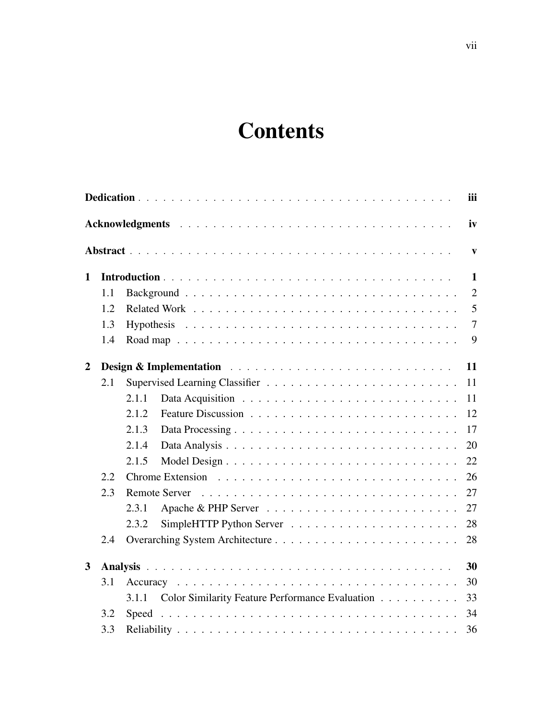# **Contents**

|                |     |                                                          | iii            |
|----------------|-----|----------------------------------------------------------|----------------|
|                |     |                                                          | iv             |
|                |     |                                                          | $\mathbf{v}$   |
| $\mathbf{1}$   |     |                                                          | $\mathbf{1}$   |
|                | 1.1 |                                                          | $\overline{2}$ |
|                | 1.2 |                                                          | 5              |
|                | 1.3 |                                                          | $\overline{7}$ |
|                | 1.4 |                                                          | 9              |
| $\overline{2}$ |     |                                                          | 11             |
|                | 2.1 |                                                          | 11             |
|                |     | 2.1.1                                                    | 11             |
|                |     | 2.1.2                                                    | 12             |
|                |     | 2.1.3                                                    | 17             |
|                |     | 2.1.4                                                    | 20             |
|                |     | 2.1.5                                                    | 22             |
|                | 2.2 |                                                          | 26             |
|                | 2.3 |                                                          | 27             |
|                |     | 2.3.1                                                    | 27             |
|                |     | 2.3.2                                                    | 28             |
|                | 2.4 |                                                          | 28             |
| $\mathbf{3}$   |     |                                                          | 30             |
|                | 3.1 |                                                          | 30             |
|                |     | Color Similarity Feature Performance Evaluation<br>3.1.1 | 33             |
|                | 3.2 |                                                          | 34             |
|                | 3.3 |                                                          | 36             |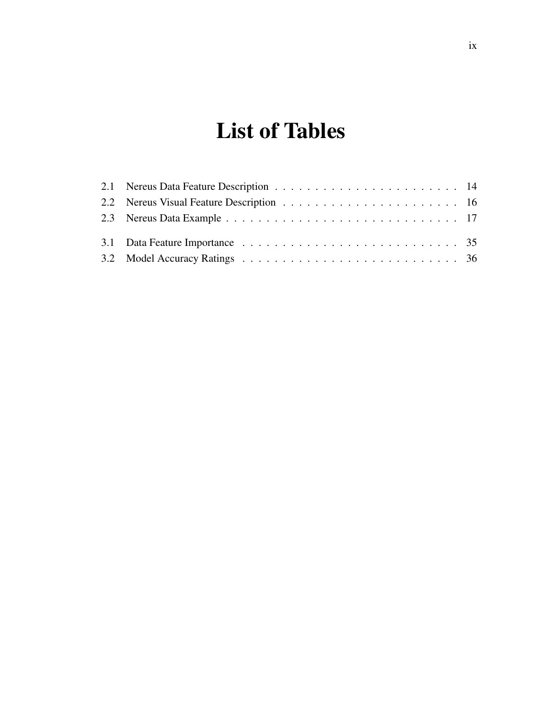# List of Tables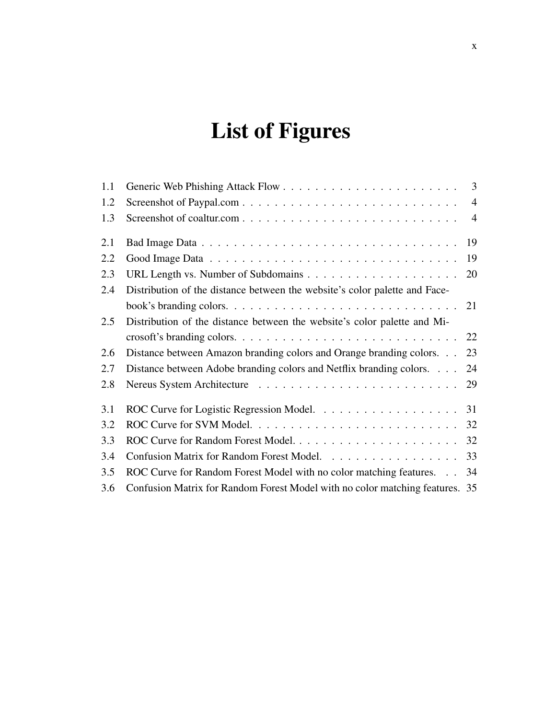# List of Figures

| 1.1 |                                                                              |                |
|-----|------------------------------------------------------------------------------|----------------|
| 1.2 |                                                                              | $\overline{4}$ |
| 1.3 |                                                                              | $\overline{4}$ |
| 2.1 |                                                                              | 19             |
| 2.2 |                                                                              | 19             |
| 2.3 |                                                                              | 20             |
| 2.4 | Distribution of the distance between the website's color palette and Face-   |                |
|     |                                                                              | 21             |
| 2.5 | Distribution of the distance between the website's color palette and Mi-     |                |
|     |                                                                              | 22             |
| 2.6 | Distance between Amazon branding colors and Orange branding colors.          | 23             |
| 2.7 | Distance between Adobe branding colors and Netflix branding colors.          | 24             |
| 2.8 |                                                                              | 29             |
| 3.1 |                                                                              |                |
| 3.2 |                                                                              |                |
| 3.3 |                                                                              |                |
| 3.4 | Confusion Matrix for Random Forest Model.                                    | 33             |
| 3.5 | ROC Curve for Random Forest Model with no color matching features. 34        |                |
| 3.6 | Confusion Matrix for Random Forest Model with no color matching features. 35 |                |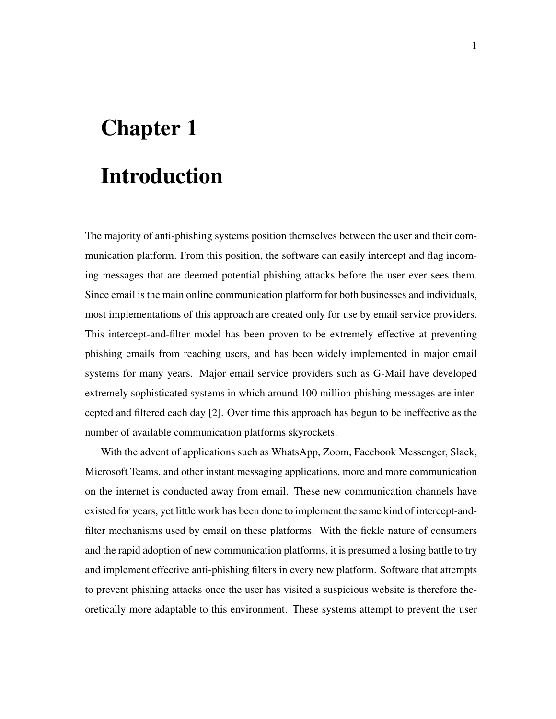# Chapter 1 Introduction

The majority of anti-phishing systems position themselves between the user and their communication platform. From this position, the software can easily intercept and flag incoming messages that are deemed potential phishing attacks before the user ever sees them. Since email is the main online communication platform for both businesses and individuals, most implementations of this approach are created only for use by email service providers. This intercept-and-filter model has been proven to be extremely effective at preventing phishing emails from reaching users, and has been widely implemented in major email systems for many years. Major email service providers such as G-Mail have developed extremely sophisticated systems in which around 100 million phishing messages are intercepted and filtered each day [2]. Over time this approach has begun to be ineffective as the number of available communication platforms skyrockets.

With the advent of applications such as WhatsApp, Zoom, Facebook Messenger, Slack, Microsoft Teams, and other instant messaging applications, more and more communication on the internet is conducted away from email. These new communication channels have existed for years, yet little work has been done to implement the same kind of intercept-andfilter mechanisms used by email on these platforms. With the fickle nature of consumers and the rapid adoption of new communication platforms, it is presumed a losing battle to try and implement effective anti-phishing filters in every new platform. Software that attempts to prevent phishing attacks once the user has visited a suspicious website is therefore theoretically more adaptable to this environment. These systems attempt to prevent the user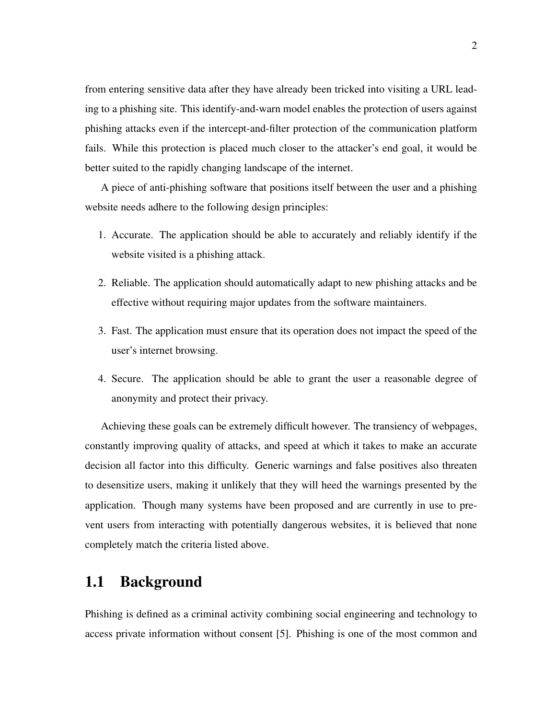from entering sensitive data after they have already been tricked into visiting a URL leading to a phishing site. This identify-and-warn model enables the protection of users against phishing attacks even if the intercept-and-filter protection of the communication platform fails. While this protection is placed much closer to the attacker's end goal, it would be better suited to the rapidly changing landscape of the internet.

A piece of anti-phishing software that positions itself between the user and a phishing website needs adhere to the following design principles:

- 1. Accurate. The application should be able to accurately and reliably identify if the website visited is a phishing attack.
- 2. Reliable. The application should automatically adapt to new phishing attacks and be effective without requiring major updates from the software maintainers.
- 3. Fast. The application must ensure that its operation does not impact the speed of the user's internet browsing.
- 4. Secure. The application should be able to grant the user a reasonable degree of anonymity and protect their privacy.

Achieving these goals can be extremely difficult however. The transiency of webpages, constantly improving quality of attacks, and speed at which it takes to make an accurate decision all factor into this difficulty. Generic warnings and false positives also threaten to desensitize users, making it unlikely that they will heed the warnings presented by the application. Though many systems have been proposed and are currently in use to prevent users from interacting with potentially dangerous websites, it is believed that none completely match the criteria listed above.

### 1.1 Background

Phishing is defined as a criminal activity combining social engineering and technology to access private information without consent [5]. Phishing is one of the most common and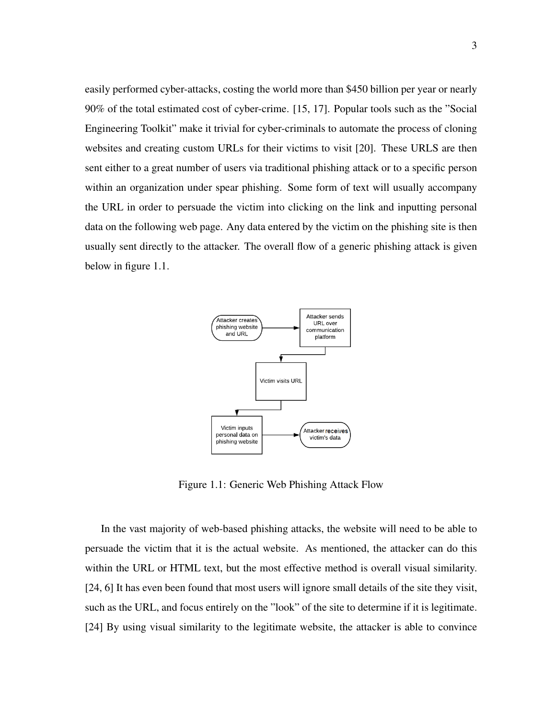easily performed cyber-attacks, costing the world more than \$450 billion per year or nearly 90% of the total estimated cost of cyber-crime. [15, 17]. Popular tools such as the "Social Engineering Toolkit" make it trivial for cyber-criminals to automate the process of cloning websites and creating custom URLs for their victims to visit [20]. These URLS are then sent either to a great number of users via traditional phishing attack or to a specific person within an organization under spear phishing. Some form of text will usually accompany the URL in order to persuade the victim into clicking on the link and inputting personal data on the following web page. Any data entered by the victim on the phishing site is then usually sent directly to the attacker. The overall flow of a generic phishing attack is given below in figure 1.1.



Figure 1.1: Generic Web Phishing Attack Flow

In the vast majority of web-based phishing attacks, the website will need to be able to persuade the victim that it is the actual website. As mentioned, the attacker can do this within the URL or HTML text, but the most effective method is overall visual similarity. [24, 6] It has even been found that most users will ignore small details of the site they visit, such as the URL, and focus entirely on the "look" of the site to determine if it is legitimate. [24] By using visual similarity to the legitimate website, the attacker is able to convince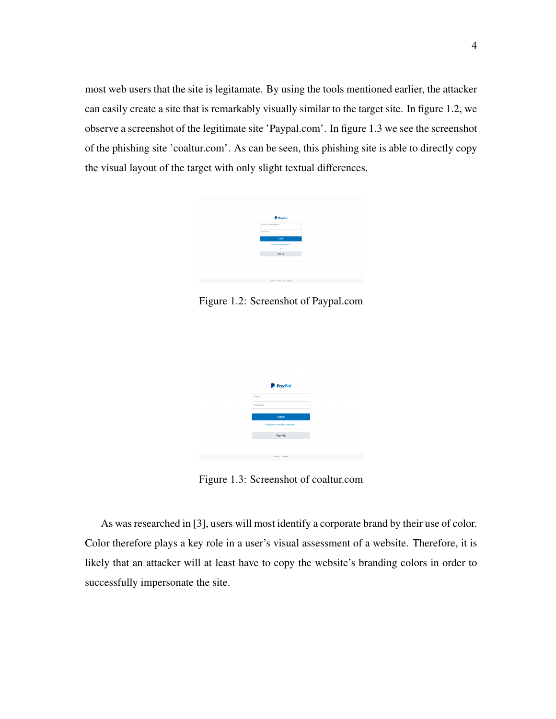most web users that the site is legitamate. By using the tools mentioned earlier, the attacker can easily create a site that is remarkably visually similar to the target site. In figure 1.2, we observe a screenshot of the legitimate site 'Paypal.com'. In figure 1.3 we see the screenshot of the phishing site 'coaltur.com'. As can be seen, this phishing site is able to directly copy the visual layout of the target with only slight textual differences.



Figure 1.2: Screenshot of Paypal.com



Figure 1.3: Screenshot of coaltur.com

As was researched in [3], users will most identify a corporate brand by their use of color. Color therefore plays a key role in a user's visual assessment of a website. Therefore, it is likely that an attacker will at least have to copy the website's branding colors in order to successfully impersonate the site.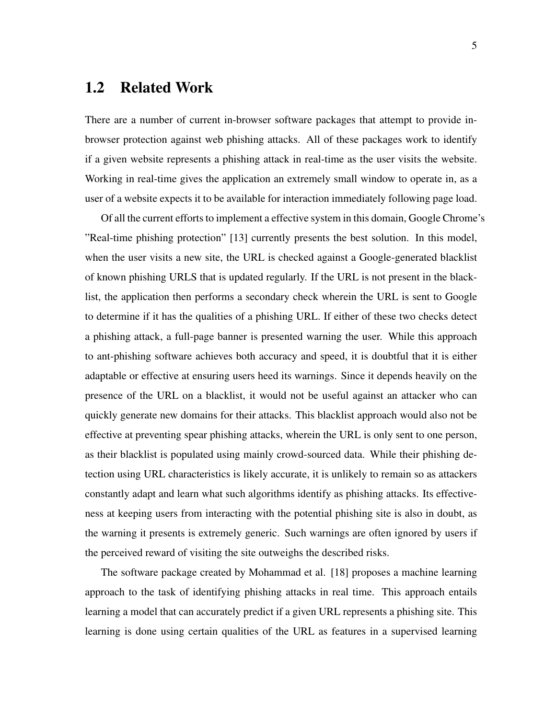### 1.2 Related Work

There are a number of current in-browser software packages that attempt to provide inbrowser protection against web phishing attacks. All of these packages work to identify if a given website represents a phishing attack in real-time as the user visits the website. Working in real-time gives the application an extremely small window to operate in, as a user of a website expects it to be available for interaction immediately following page load.

Of all the current efforts to implement a effective system in this domain, Google Chrome's "Real-time phishing protection" [13] currently presents the best solution. In this model, when the user visits a new site, the URL is checked against a Google-generated blacklist of known phishing URLS that is updated regularly. If the URL is not present in the blacklist, the application then performs a secondary check wherein the URL is sent to Google to determine if it has the qualities of a phishing URL. If either of these two checks detect a phishing attack, a full-page banner is presented warning the user. While this approach to ant-phishing software achieves both accuracy and speed, it is doubtful that it is either adaptable or effective at ensuring users heed its warnings. Since it depends heavily on the presence of the URL on a blacklist, it would not be useful against an attacker who can quickly generate new domains for their attacks. This blacklist approach would also not be effective at preventing spear phishing attacks, wherein the URL is only sent to one person, as their blacklist is populated using mainly crowd-sourced data. While their phishing detection using URL characteristics is likely accurate, it is unlikely to remain so as attackers constantly adapt and learn what such algorithms identify as phishing attacks. Its effectiveness at keeping users from interacting with the potential phishing site is also in doubt, as the warning it presents is extremely generic. Such warnings are often ignored by users if the perceived reward of visiting the site outweighs the described risks.

The software package created by Mohammad et al. [18] proposes a machine learning approach to the task of identifying phishing attacks in real time. This approach entails learning a model that can accurately predict if a given URL represents a phishing site. This learning is done using certain qualities of the URL as features in a supervised learning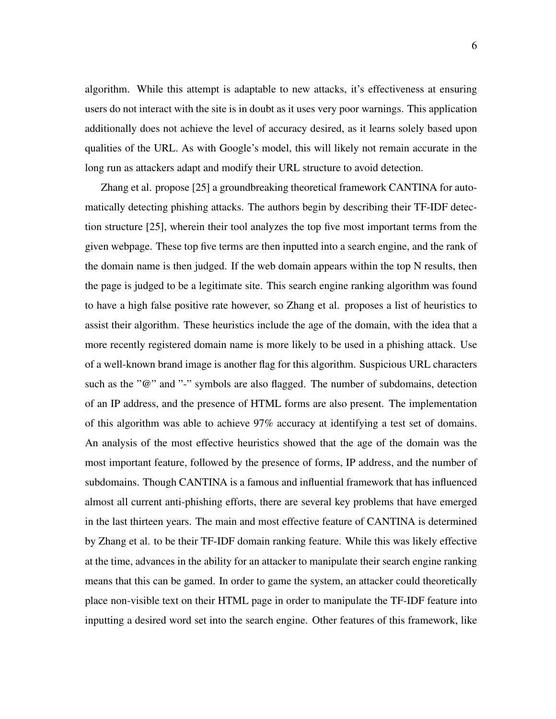algorithm. While this attempt is adaptable to new attacks, it's effectiveness at ensuring users do not interact with the site is in doubt as it uses very poor warnings. This application additionally does not achieve the level of accuracy desired, as it learns solely based upon qualities of the URL. As with Google's model, this will likely not remain accurate in the long run as attackers adapt and modify their URL structure to avoid detection.

Zhang et al. propose [25] a groundbreaking theoretical framework CANTINA for automatically detecting phishing attacks. The authors begin by describing their TF-IDF detection structure [25], wherein their tool analyzes the top five most important terms from the given webpage. These top five terms are then inputted into a search engine, and the rank of the domain name is then judged. If the web domain appears within the top N results, then the page is judged to be a legitimate site. This search engine ranking algorithm was found to have a high false positive rate however, so Zhang et al. proposes a list of heuristics to assist their algorithm. These heuristics include the age of the domain, with the idea that a more recently registered domain name is more likely to be used in a phishing attack. Use of a well-known brand image is another flag for this algorithm. Suspicious URL characters such as the "@" and "-" symbols are also flagged. The number of subdomains, detection of an IP address, and the presence of HTML forms are also present. The implementation of this algorithm was able to achieve 97% accuracy at identifying a test set of domains. An analysis of the most effective heuristics showed that the age of the domain was the most important feature, followed by the presence of forms, IP address, and the number of subdomains. Though CANTINA is a famous and influential framework that has influenced almost all current anti-phishing efforts, there are several key problems that have emerged in the last thirteen years. The main and most effective feature of CANTINA is determined by Zhang et al. to be their TF-IDF domain ranking feature. While this was likely effective at the time, advances in the ability for an attacker to manipulate their search engine ranking means that this can be gamed. In order to game the system, an attacker could theoretically place non-visible text on their HTML page in order to manipulate the TF-IDF feature into inputting a desired word set into the search engine. Other features of this framework, like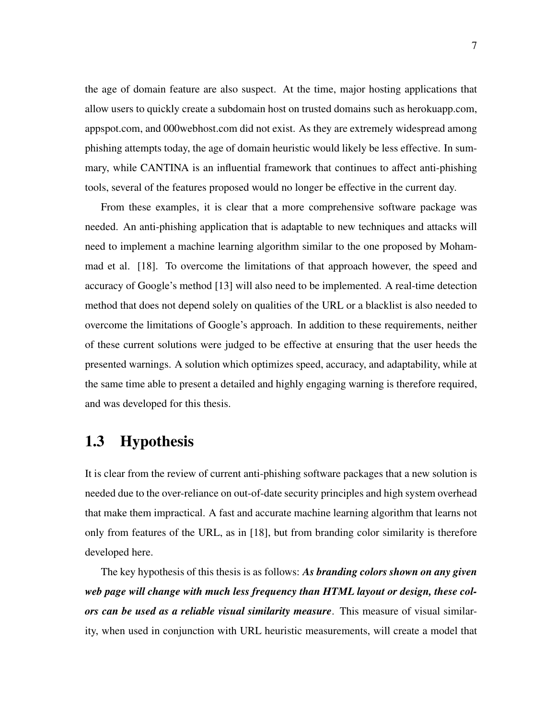the age of domain feature are also suspect. At the time, major hosting applications that allow users to quickly create a subdomain host on trusted domains such as herokuapp.com, appspot.com, and 000webhost.com did not exist. As they are extremely widespread among phishing attempts today, the age of domain heuristic would likely be less effective. In summary, while CANTINA is an influential framework that continues to affect anti-phishing tools, several of the features proposed would no longer be effective in the current day.

From these examples, it is clear that a more comprehensive software package was needed. An anti-phishing application that is adaptable to new techniques and attacks will need to implement a machine learning algorithm similar to the one proposed by Mohammad et al. [18]. To overcome the limitations of that approach however, the speed and accuracy of Google's method [13] will also need to be implemented. A real-time detection method that does not depend solely on qualities of the URL or a blacklist is also needed to overcome the limitations of Google's approach. In addition to these requirements, neither of these current solutions were judged to be effective at ensuring that the user heeds the presented warnings. A solution which optimizes speed, accuracy, and adaptability, while at the same time able to present a detailed and highly engaging warning is therefore required, and was developed for this thesis.

### 1.3 Hypothesis

It is clear from the review of current anti-phishing software packages that a new solution is needed due to the over-reliance on out-of-date security principles and high system overhead that make them impractical. A fast and accurate machine learning algorithm that learns not only from features of the URL, as in [18], but from branding color similarity is therefore developed here.

The key hypothesis of this thesis is as follows: *As branding colors shown on any given web page will change with much less frequency than HTML layout or design, these colors can be used as a reliable visual similarity measure*. This measure of visual similarity, when used in conjunction with URL heuristic measurements, will create a model that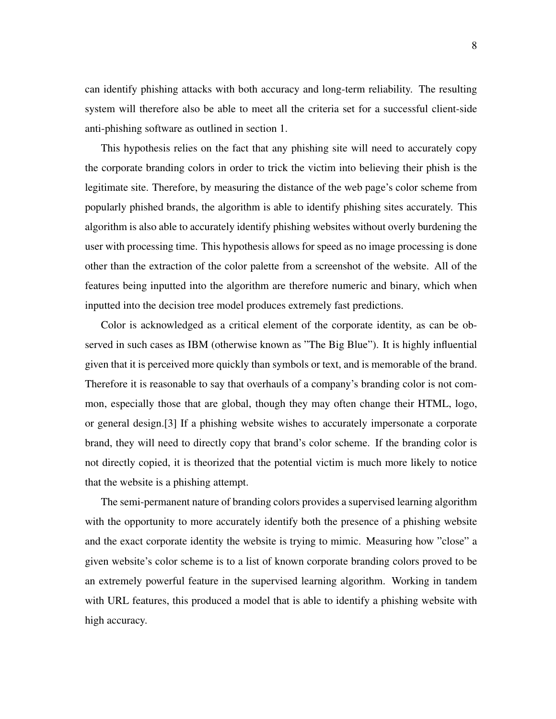can identify phishing attacks with both accuracy and long-term reliability. The resulting system will therefore also be able to meet all the criteria set for a successful client-side anti-phishing software as outlined in section 1.

This hypothesis relies on the fact that any phishing site will need to accurately copy the corporate branding colors in order to trick the victim into believing their phish is the legitimate site. Therefore, by measuring the distance of the web page's color scheme from popularly phished brands, the algorithm is able to identify phishing sites accurately. This algorithm is also able to accurately identify phishing websites without overly burdening the user with processing time. This hypothesis allows for speed as no image processing is done other than the extraction of the color palette from a screenshot of the website. All of the features being inputted into the algorithm are therefore numeric and binary, which when inputted into the decision tree model produces extremely fast predictions.

Color is acknowledged as a critical element of the corporate identity, as can be observed in such cases as IBM (otherwise known as "The Big Blue"). It is highly influential given that it is perceived more quickly than symbols or text, and is memorable of the brand. Therefore it is reasonable to say that overhauls of a company's branding color is not common, especially those that are global, though they may often change their HTML, logo, or general design.[3] If a phishing website wishes to accurately impersonate a corporate brand, they will need to directly copy that brand's color scheme. If the branding color is not directly copied, it is theorized that the potential victim is much more likely to notice that the website is a phishing attempt.

The semi-permanent nature of branding colors provides a supervised learning algorithm with the opportunity to more accurately identify both the presence of a phishing website and the exact corporate identity the website is trying to mimic. Measuring how "close" a given website's color scheme is to a list of known corporate branding colors proved to be an extremely powerful feature in the supervised learning algorithm. Working in tandem with URL features, this produced a model that is able to identify a phishing website with high accuracy.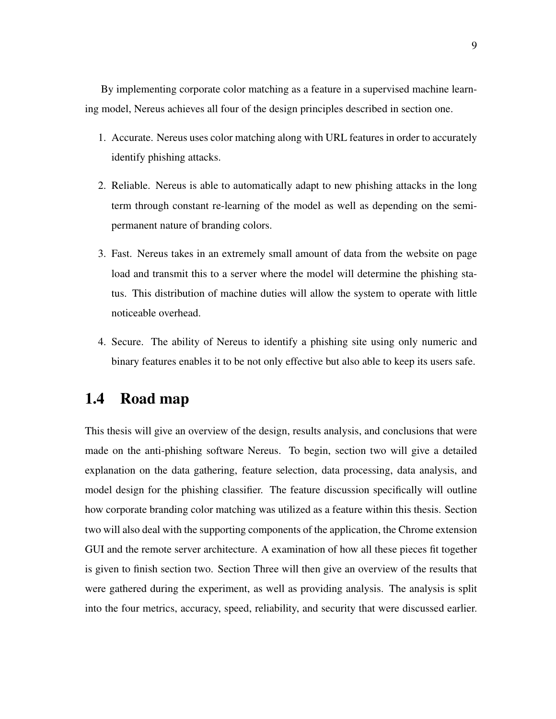By implementing corporate color matching as a feature in a supervised machine learning model, Nereus achieves all four of the design principles described in section one.

- 1. Accurate. Nereus uses color matching along with URL features in order to accurately identify phishing attacks.
- 2. Reliable. Nereus is able to automatically adapt to new phishing attacks in the long term through constant re-learning of the model as well as depending on the semipermanent nature of branding colors.
- 3. Fast. Nereus takes in an extremely small amount of data from the website on page load and transmit this to a server where the model will determine the phishing status. This distribution of machine duties will allow the system to operate with little noticeable overhead.
- 4. Secure. The ability of Nereus to identify a phishing site using only numeric and binary features enables it to be not only effective but also able to keep its users safe.

### 1.4 Road map

This thesis will give an overview of the design, results analysis, and conclusions that were made on the anti-phishing software Nereus. To begin, section two will give a detailed explanation on the data gathering, feature selection, data processing, data analysis, and model design for the phishing classifier. The feature discussion specifically will outline how corporate branding color matching was utilized as a feature within this thesis. Section two will also deal with the supporting components of the application, the Chrome extension GUI and the remote server architecture. A examination of how all these pieces fit together is given to finish section two. Section Three will then give an overview of the results that were gathered during the experiment, as well as providing analysis. The analysis is split into the four metrics, accuracy, speed, reliability, and security that were discussed earlier.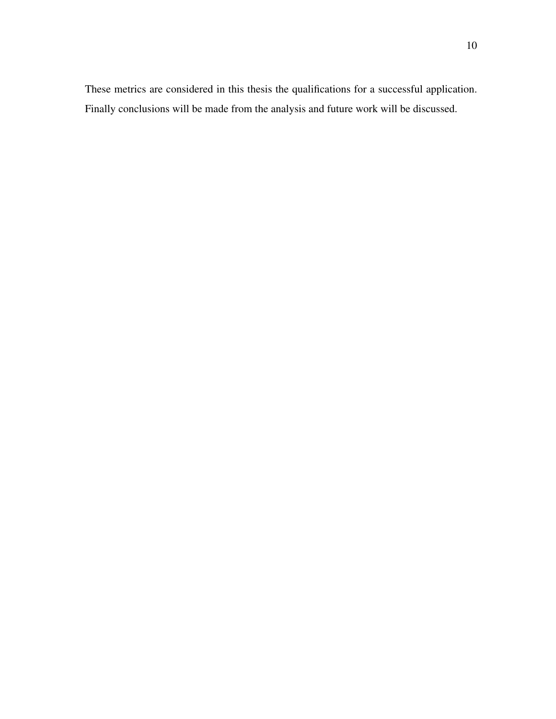These metrics are considered in this thesis the qualifications for a successful application. Finally conclusions will be made from the analysis and future work will be discussed.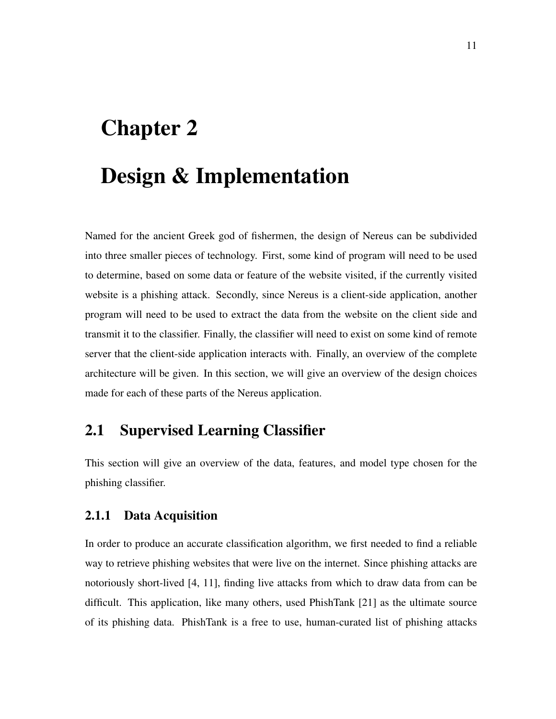# Chapter 2

# Design & Implementation

Named for the ancient Greek god of fishermen, the design of Nereus can be subdivided into three smaller pieces of technology. First, some kind of program will need to be used to determine, based on some data or feature of the website visited, if the currently visited website is a phishing attack. Secondly, since Nereus is a client-side application, another program will need to be used to extract the data from the website on the client side and transmit it to the classifier. Finally, the classifier will need to exist on some kind of remote server that the client-side application interacts with. Finally, an overview of the complete architecture will be given. In this section, we will give an overview of the design choices made for each of these parts of the Nereus application.

## 2.1 Supervised Learning Classifier

This section will give an overview of the data, features, and model type chosen for the phishing classifier.

#### 2.1.1 Data Acquisition

In order to produce an accurate classification algorithm, we first needed to find a reliable way to retrieve phishing websites that were live on the internet. Since phishing attacks are notoriously short-lived [4, 11], finding live attacks from which to draw data from can be difficult. This application, like many others, used PhishTank [21] as the ultimate source of its phishing data. PhishTank is a free to use, human-curated list of phishing attacks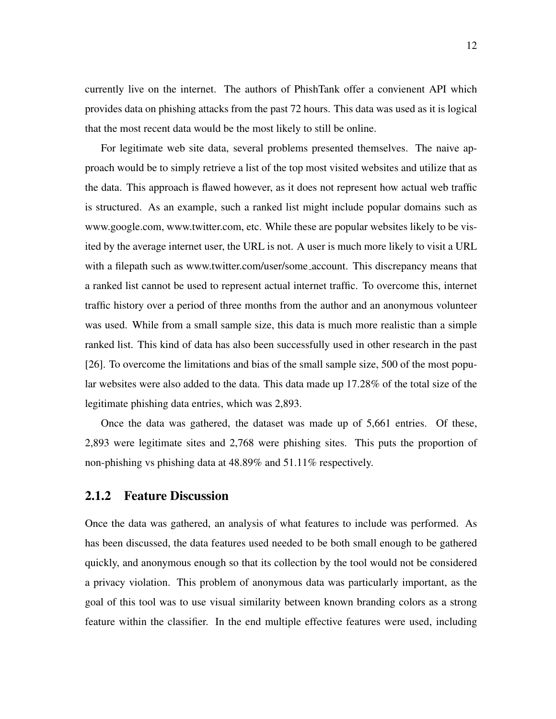currently live on the internet. The authors of PhishTank offer a convienent API which provides data on phishing attacks from the past 72 hours. This data was used as it is logical that the most recent data would be the most likely to still be online.

For legitimate web site data, several problems presented themselves. The naive approach would be to simply retrieve a list of the top most visited websites and utilize that as the data. This approach is flawed however, as it does not represent how actual web traffic is structured. As an example, such a ranked list might include popular domains such as www.google.com, www.twitter.com, etc. While these are popular websites likely to be visited by the average internet user, the URL is not. A user is much more likely to visit a URL with a filepath such as www.twitter.com/user/some account. This discrepancy means that a ranked list cannot be used to represent actual internet traffic. To overcome this, internet traffic history over a period of three months from the author and an anonymous volunteer was used. While from a small sample size, this data is much more realistic than a simple ranked list. This kind of data has also been successfully used in other research in the past [26]. To overcome the limitations and bias of the small sample size, 500 of the most popular websites were also added to the data. This data made up 17.28% of the total size of the legitimate phishing data entries, which was 2,893.

Once the data was gathered, the dataset was made up of 5,661 entries. Of these, 2,893 were legitimate sites and 2,768 were phishing sites. This puts the proportion of non-phishing vs phishing data at 48.89% and 51.11% respectively.

#### 2.1.2 Feature Discussion

Once the data was gathered, an analysis of what features to include was performed. As has been discussed, the data features used needed to be both small enough to be gathered quickly, and anonymous enough so that its collection by the tool would not be considered a privacy violation. This problem of anonymous data was particularly important, as the goal of this tool was to use visual similarity between known branding colors as a strong feature within the classifier. In the end multiple effective features were used, including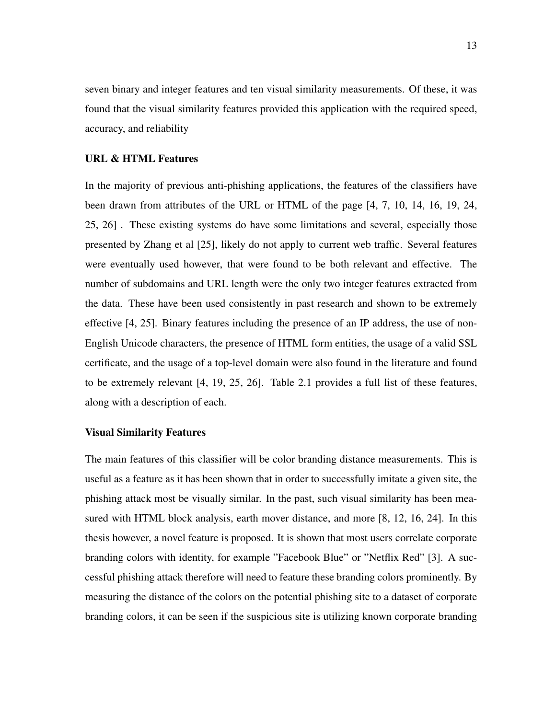seven binary and integer features and ten visual similarity measurements. Of these, it was found that the visual similarity features provided this application with the required speed, accuracy, and reliability

#### URL & HTML Features

In the majority of previous anti-phishing applications, the features of the classifiers have been drawn from attributes of the URL or HTML of the page [4, 7, 10, 14, 16, 19, 24, 25, 26] . These existing systems do have some limitations and several, especially those presented by Zhang et al [25], likely do not apply to current web traffic. Several features were eventually used however, that were found to be both relevant and effective. The number of subdomains and URL length were the only two integer features extracted from the data. These have been used consistently in past research and shown to be extremely effective [4, 25]. Binary features including the presence of an IP address, the use of non-English Unicode characters, the presence of HTML form entities, the usage of a valid SSL certificate, and the usage of a top-level domain were also found in the literature and found to be extremely relevant [4, 19, 25, 26]. Table 2.1 provides a full list of these features, along with a description of each.

#### Visual Similarity Features

The main features of this classifier will be color branding distance measurements. This is useful as a feature as it has been shown that in order to successfully imitate a given site, the phishing attack most be visually similar. In the past, such visual similarity has been measured with HTML block analysis, earth mover distance, and more [8, 12, 16, 24]. In this thesis however, a novel feature is proposed. It is shown that most users correlate corporate branding colors with identity, for example "Facebook Blue" or "Netflix Red" [3]. A successful phishing attack therefore will need to feature these branding colors prominently. By measuring the distance of the colors on the potential phishing site to a dataset of corporate branding colors, it can be seen if the suspicious site is utilizing known corporate branding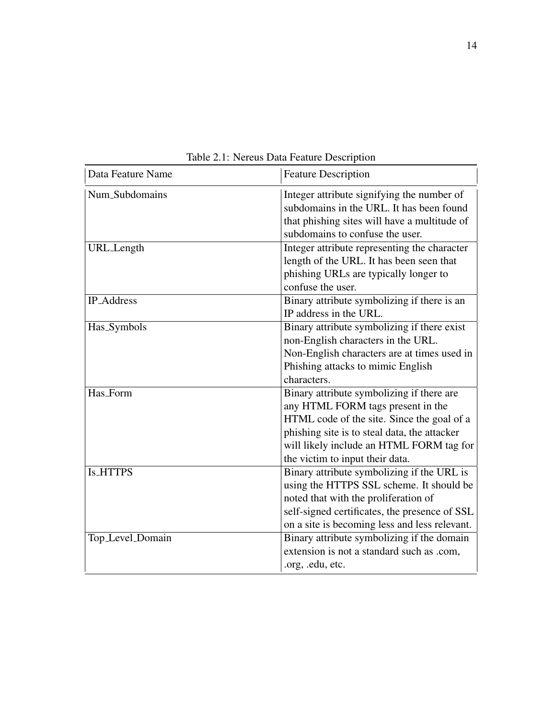| Data Feature Name | <b>Feature Description</b>                                                                                                                                                                                                                                  |  |  |  |
|-------------------|-------------------------------------------------------------------------------------------------------------------------------------------------------------------------------------------------------------------------------------------------------------|--|--|--|
| Num_Subdomains    | Integer attribute signifying the number of<br>subdomains in the URL. It has been found<br>that phishing sites will have a multitude of<br>subdomains to confuse the user.                                                                                   |  |  |  |
| URL_Length        | Integer attribute representing the character<br>length of the URL. It has been seen that<br>phishing URLs are typically longer to<br>confuse the user.                                                                                                      |  |  |  |
| <b>IP_Address</b> | Binary attribute symbolizing if there is an<br>IP address in the URL.                                                                                                                                                                                       |  |  |  |
| Has_Symbols       | Binary attribute symbolizing if there exist<br>non-English characters in the URL.<br>Non-English characters are at times used in<br>Phishing attacks to mimic English<br>characters.                                                                        |  |  |  |
| Has_Form          | Binary attribute symbolizing if there are<br>any HTML FORM tags present in the<br>HTML code of the site. Since the goal of a<br>phishing site is to steal data, the attacker<br>will likely include an HTML FORM tag for<br>the victim to input their data. |  |  |  |
| <b>Is_HTTPS</b>   | Binary attribute symbolizing if the URL is<br>using the HTTPS SSL scheme. It should be<br>noted that with the proliferation of<br>self-signed certificates, the presence of SSL<br>on a site is becoming less and less relevant.                            |  |  |  |
| Top_Level_Domain  | Binary attribute symbolizing if the domain<br>extension is not a standard such as .com,<br>.org, .edu, etc.                                                                                                                                                 |  |  |  |

Table 2.1: Nereus Data Feature Description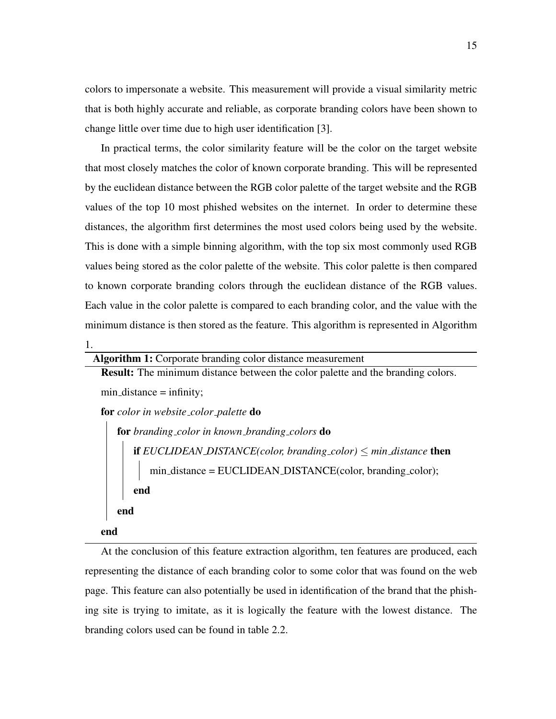colors to impersonate a website. This measurement will provide a visual similarity metric that is both highly accurate and reliable, as corporate branding colors have been shown to change little over time due to high user identification [3].

In practical terms, the color similarity feature will be the color on the target website that most closely matches the color of known corporate branding. This will be represented by the euclidean distance between the RGB color palette of the target website and the RGB values of the top 10 most phished websites on the internet. In order to determine these distances, the algorithm first determines the most used colors being used by the website. This is done with a simple binning algorithm, with the top six most commonly used RGB values being stored as the color palette of the website. This color palette is then compared to known corporate branding colors through the euclidean distance of the RGB values. Each value in the color palette is compared to each branding color, and the value with the minimum distance is then stored as the feature. This algorithm is represented in Algorithm

1.

Algorithm 1: Corporate branding color distance measurement

Result: The minimum distance between the color palette and the branding colors.  $min\_distance = infinity;$ for *color in website color palette* do for *branding color in known branding colors* do if  $EUCLIDEAN_DISTANCE(color, branching-color) \leq min\_distance$  then  $min\_distance = EUCLIDEAN_DISTANCE(color, branching-color);$ 

end

end

end

At the conclusion of this feature extraction algorithm, ten features are produced, each representing the distance of each branding color to some color that was found on the web page. This feature can also potentially be used in identification of the brand that the phishing site is trying to imitate, as it is logically the feature with the lowest distance. The branding colors used can be found in table 2.2.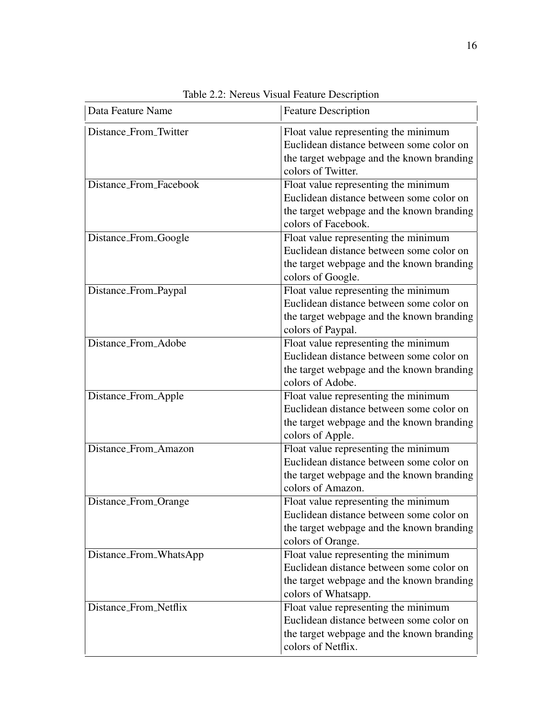| Data Feature Name      | <b>Feature Description</b>                                                                                                                           |
|------------------------|------------------------------------------------------------------------------------------------------------------------------------------------------|
| Distance_From_Twitter  | Float value representing the minimum<br>Euclidean distance between some color on<br>the target webpage and the known branding<br>colors of Twitter.  |
| Distance_From_Facebook | Float value representing the minimum<br>Euclidean distance between some color on<br>the target webpage and the known branding<br>colors of Facebook. |
| Distance_From_Google   | Float value representing the minimum<br>Euclidean distance between some color on<br>the target webpage and the known branding<br>colors of Google.   |
| Distance_From_Paypal   | Float value representing the minimum<br>Euclidean distance between some color on<br>the target webpage and the known branding<br>colors of Paypal.   |
| Distance_From_Adobe    | Float value representing the minimum<br>Euclidean distance between some color on<br>the target webpage and the known branding<br>colors of Adobe.    |
| Distance_From_Apple    | Float value representing the minimum<br>Euclidean distance between some color on<br>the target webpage and the known branding<br>colors of Apple.    |
| Distance_From_Amazon   | Float value representing the minimum<br>Euclidean distance between some color on<br>the target webpage and the known branding<br>colors of Amazon.   |
| Distance_From_Orange   | Float value representing the minimum<br>Euclidean distance between some color on<br>the target webpage and the known branding<br>colors of Orange.   |
| Distance_From_WhatsApp | Float value representing the minimum<br>Euclidean distance between some color on<br>the target webpage and the known branding<br>colors of Whatsapp. |
| Distance_From_Netflix  | Float value representing the minimum<br>Euclidean distance between some color on<br>the target webpage and the known branding<br>colors of Netflix.  |

Table 2.2: Nereus Visual Feature Description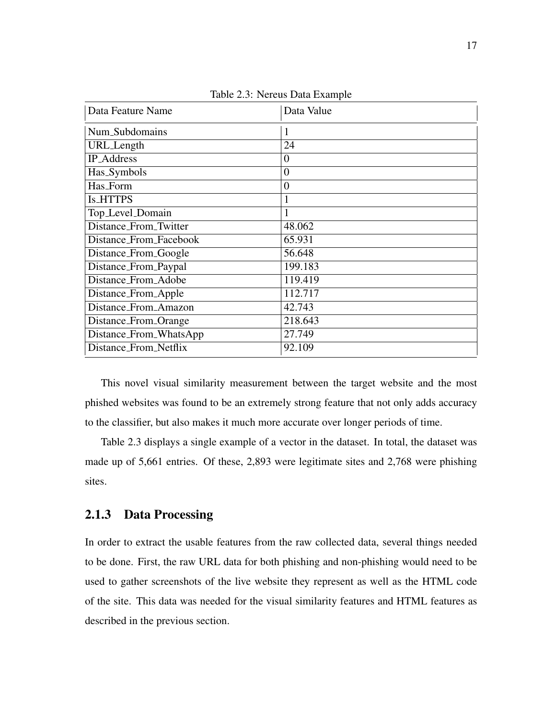| Data Feature Name      | Data Value     |
|------------------------|----------------|
| Num_Subdomains         | 1              |
| URL_Length             | 24             |
| <b>IP_Address</b>      | $\overline{0}$ |
| Has_Symbols            | $\overline{0}$ |
| Has_Form               | $\overline{0}$ |
| <b>Is_HTTPS</b>        | 1              |
| Top_Level_Domain       | 1              |
| Distance_From_Twitter  | 48.062         |
| Distance_From_Facebook | 65.931         |
| Distance_From_Google   | 56.648         |
| Distance_From_Paypal   | 199.183        |
| Distance From Adobe    | 119.419        |
| Distance_From_Apple    | 112.717        |
| Distance_From_Amazon   | 42.743         |
| Distance_From_Orange   | 218.643        |
| Distance_From_WhatsApp | 27.749         |
| Distance From Netflix  | 92.109         |

Table 2.3: Nereus Data Example

This novel visual similarity measurement between the target website and the most phished websites was found to be an extremely strong feature that not only adds accuracy to the classifier, but also makes it much more accurate over longer periods of time.

Table 2.3 displays a single example of a vector in the dataset. In total, the dataset was made up of 5,661 entries. Of these, 2,893 were legitimate sites and 2,768 were phishing sites.

#### 2.1.3 Data Processing

In order to extract the usable features from the raw collected data, several things needed to be done. First, the raw URL data for both phishing and non-phishing would need to be used to gather screenshots of the live website they represent as well as the HTML code of the site. This data was needed for the visual similarity features and HTML features as described in the previous section.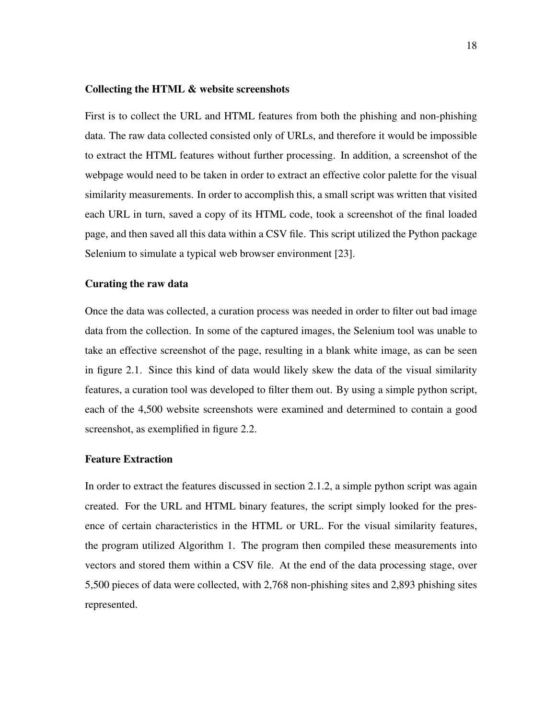#### Collecting the HTML & website screenshots

First is to collect the URL and HTML features from both the phishing and non-phishing data. The raw data collected consisted only of URLs, and therefore it would be impossible to extract the HTML features without further processing. In addition, a screenshot of the webpage would need to be taken in order to extract an effective color palette for the visual similarity measurements. In order to accomplish this, a small script was written that visited each URL in turn, saved a copy of its HTML code, took a screenshot of the final loaded page, and then saved all this data within a CSV file. This script utilized the Python package Selenium to simulate a typical web browser environment [23].

#### Curating the raw data

Once the data was collected, a curation process was needed in order to filter out bad image data from the collection. In some of the captured images, the Selenium tool was unable to take an effective screenshot of the page, resulting in a blank white image, as can be seen in figure 2.1. Since this kind of data would likely skew the data of the visual similarity features, a curation tool was developed to filter them out. By using a simple python script, each of the 4,500 website screenshots were examined and determined to contain a good screenshot, as exemplified in figure 2.2.

#### Feature Extraction

In order to extract the features discussed in section 2.1.2, a simple python script was again created. For the URL and HTML binary features, the script simply looked for the presence of certain characteristics in the HTML or URL. For the visual similarity features, the program utilized Algorithm 1. The program then compiled these measurements into vectors and stored them within a CSV file. At the end of the data processing stage, over 5,500 pieces of data were collected, with 2,768 non-phishing sites and 2,893 phishing sites represented.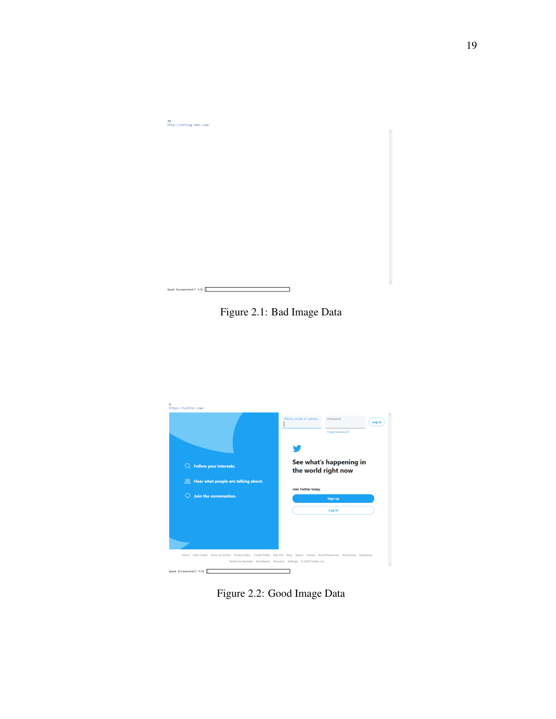

Figure 2.1: Bad Image Data



Figure 2.2: Good Image Data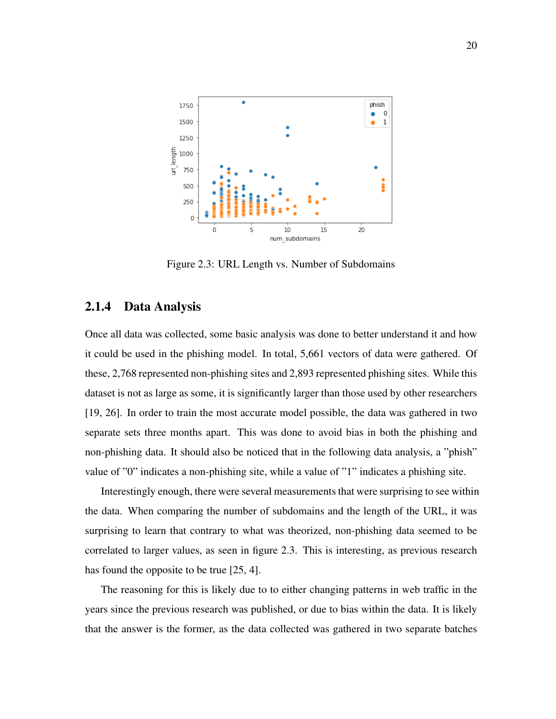

Figure 2.3: URL Length vs. Number of Subdomains

#### 2.1.4 Data Analysis

Once all data was collected, some basic analysis was done to better understand it and how it could be used in the phishing model. In total, 5,661 vectors of data were gathered. Of these, 2,768 represented non-phishing sites and 2,893 represented phishing sites. While this dataset is not as large as some, it is significantly larger than those used by other researchers [19, 26]. In order to train the most accurate model possible, the data was gathered in two separate sets three months apart. This was done to avoid bias in both the phishing and non-phishing data. It should also be noticed that in the following data analysis, a "phish" value of "0" indicates a non-phishing site, while a value of "1" indicates a phishing site.

Interestingly enough, there were several measurements that were surprising to see within the data. When comparing the number of subdomains and the length of the URL, it was surprising to learn that contrary to what was theorized, non-phishing data seemed to be correlated to larger values, as seen in figure 2.3. This is interesting, as previous research has found the opposite to be true [25, 4].

The reasoning for this is likely due to to either changing patterns in web traffic in the years since the previous research was published, or due to bias within the data. It is likely that the answer is the former, as the data collected was gathered in two separate batches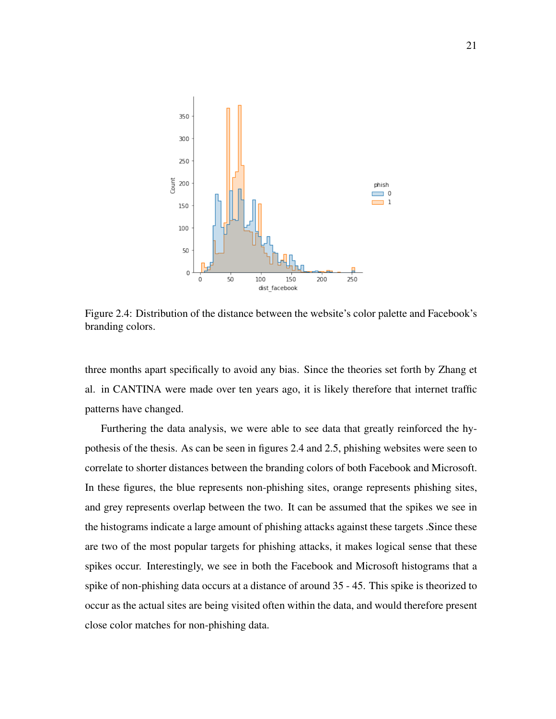

Figure 2.4: Distribution of the distance between the website's color palette and Facebook's branding colors.

three months apart specifically to avoid any bias. Since the theories set forth by Zhang et al. in CANTINA were made over ten years ago, it is likely therefore that internet traffic patterns have changed.

Furthering the data analysis, we were able to see data that greatly reinforced the hypothesis of the thesis. As can be seen in figures 2.4 and 2.5, phishing websites were seen to correlate to shorter distances between the branding colors of both Facebook and Microsoft. In these figures, the blue represents non-phishing sites, orange represents phishing sites, and grey represents overlap between the two. It can be assumed that the spikes we see in the histograms indicate a large amount of phishing attacks against these targets .Since these are two of the most popular targets for phishing attacks, it makes logical sense that these spikes occur. Interestingly, we see in both the Facebook and Microsoft histograms that a spike of non-phishing data occurs at a distance of around 35 - 45. This spike is theorized to occur as the actual sites are being visited often within the data, and would therefore present close color matches for non-phishing data.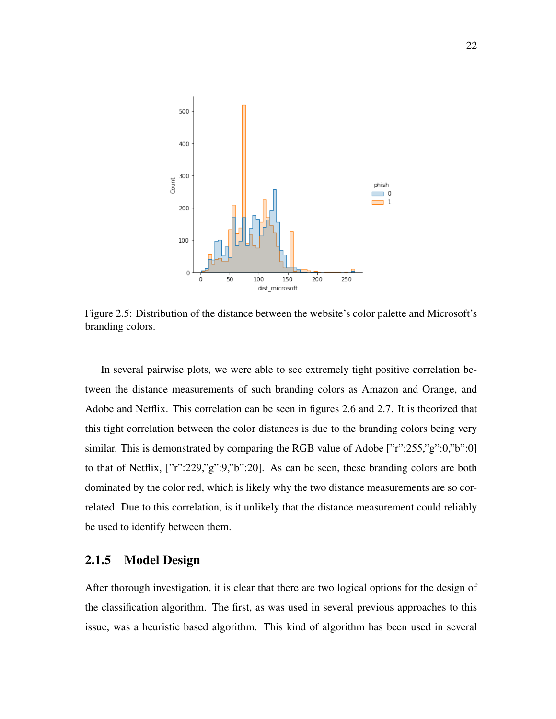

Figure 2.5: Distribution of the distance between the website's color palette and Microsoft's branding colors.

In several pairwise plots, we were able to see extremely tight positive correlation between the distance measurements of such branding colors as Amazon and Orange, and Adobe and Netflix. This correlation can be seen in figures 2.6 and 2.7. It is theorized that this tight correlation between the color distances is due to the branding colors being very similar. This is demonstrated by comparing the RGB value of Adobe ["r":255,"g":0,"b":0] to that of Netflix, ["r":229,"g":9,"b":20]. As can be seen, these branding colors are both dominated by the color red, which is likely why the two distance measurements are so correlated. Due to this correlation, is it unlikely that the distance measurement could reliably be used to identify between them.

#### 2.1.5 Model Design

After thorough investigation, it is clear that there are two logical options for the design of the classification algorithm. The first, as was used in several previous approaches to this issue, was a heuristic based algorithm. This kind of algorithm has been used in several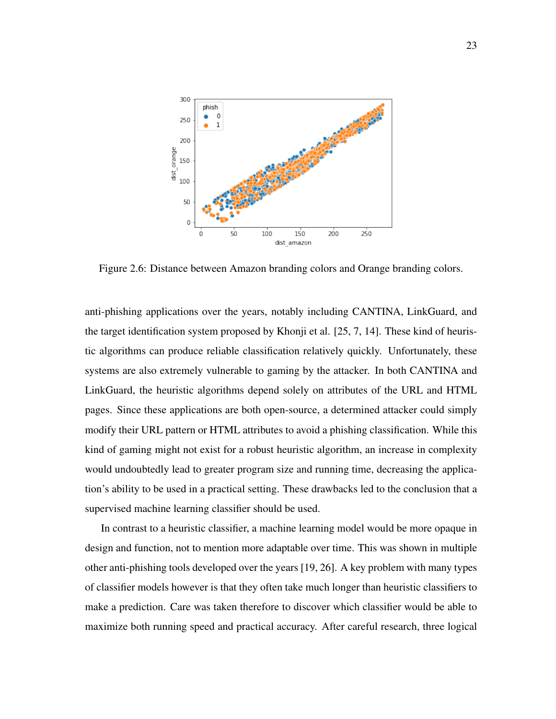

Figure 2.6: Distance between Amazon branding colors and Orange branding colors.

anti-phishing applications over the years, notably including CANTINA, LinkGuard, and the target identification system proposed by Khonji et al. [25, 7, 14]. These kind of heuristic algorithms can produce reliable classification relatively quickly. Unfortunately, these systems are also extremely vulnerable to gaming by the attacker. In both CANTINA and LinkGuard, the heuristic algorithms depend solely on attributes of the URL and HTML pages. Since these applications are both open-source, a determined attacker could simply modify their URL pattern or HTML attributes to avoid a phishing classification. While this kind of gaming might not exist for a robust heuristic algorithm, an increase in complexity would undoubtedly lead to greater program size and running time, decreasing the application's ability to be used in a practical setting. These drawbacks led to the conclusion that a supervised machine learning classifier should be used.

In contrast to a heuristic classifier, a machine learning model would be more opaque in design and function, not to mention more adaptable over time. This was shown in multiple other anti-phishing tools developed over the years [19, 26]. A key problem with many types of classifier models however is that they often take much longer than heuristic classifiers to make a prediction. Care was taken therefore to discover which classifier would be able to maximize both running speed and practical accuracy. After careful research, three logical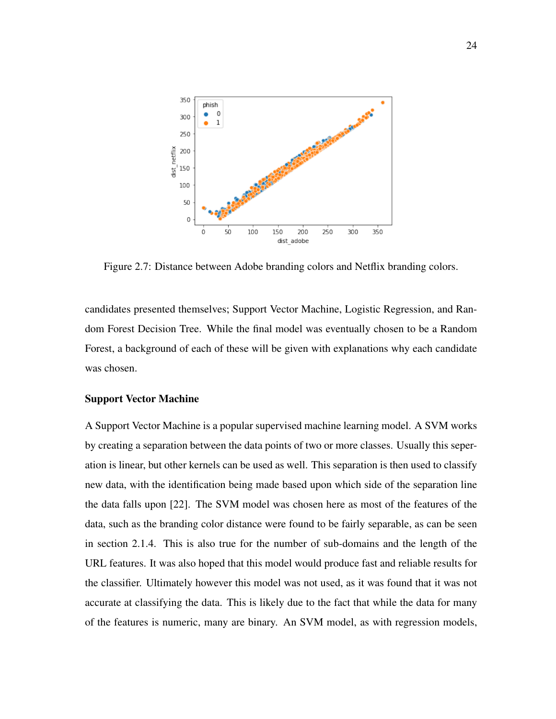

Figure 2.7: Distance between Adobe branding colors and Netflix branding colors.

candidates presented themselves; Support Vector Machine, Logistic Regression, and Random Forest Decision Tree. While the final model was eventually chosen to be a Random Forest, a background of each of these will be given with explanations why each candidate was chosen.

#### Support Vector Machine

A Support Vector Machine is a popular supervised machine learning model. A SVM works by creating a separation between the data points of two or more classes. Usually this seperation is linear, but other kernels can be used as well. This separation is then used to classify new data, with the identification being made based upon which side of the separation line the data falls upon [22]. The SVM model was chosen here as most of the features of the data, such as the branding color distance were found to be fairly separable, as can be seen in section 2.1.4. This is also true for the number of sub-domains and the length of the URL features. It was also hoped that this model would produce fast and reliable results for the classifier. Ultimately however this model was not used, as it was found that it was not accurate at classifying the data. This is likely due to the fact that while the data for many of the features is numeric, many are binary. An SVM model, as with regression models,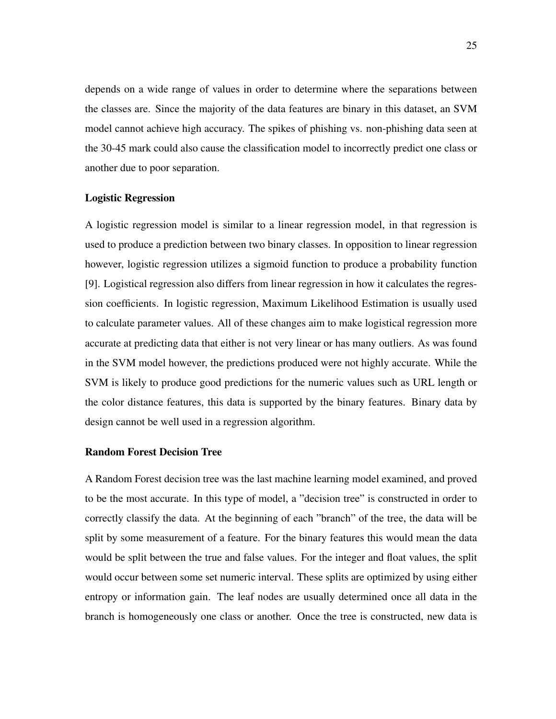depends on a wide range of values in order to determine where the separations between the classes are. Since the majority of the data features are binary in this dataset, an SVM model cannot achieve high accuracy. The spikes of phishing vs. non-phishing data seen at the 30-45 mark could also cause the classification model to incorrectly predict one class or another due to poor separation.

#### Logistic Regression

A logistic regression model is similar to a linear regression model, in that regression is used to produce a prediction between two binary classes. In opposition to linear regression however, logistic regression utilizes a sigmoid function to produce a probability function [9]. Logistical regression also differs from linear regression in how it calculates the regression coefficients. In logistic regression, Maximum Likelihood Estimation is usually used to calculate parameter values. All of these changes aim to make logistical regression more accurate at predicting data that either is not very linear or has many outliers. As was found in the SVM model however, the predictions produced were not highly accurate. While the SVM is likely to produce good predictions for the numeric values such as URL length or the color distance features, this data is supported by the binary features. Binary data by design cannot be well used in a regression algorithm.

#### Random Forest Decision Tree

A Random Forest decision tree was the last machine learning model examined, and proved to be the most accurate. In this type of model, a "decision tree" is constructed in order to correctly classify the data. At the beginning of each "branch" of the tree, the data will be split by some measurement of a feature. For the binary features this would mean the data would be split between the true and false values. For the integer and float values, the split would occur between some set numeric interval. These splits are optimized by using either entropy or information gain. The leaf nodes are usually determined once all data in the branch is homogeneously one class or another. Once the tree is constructed, new data is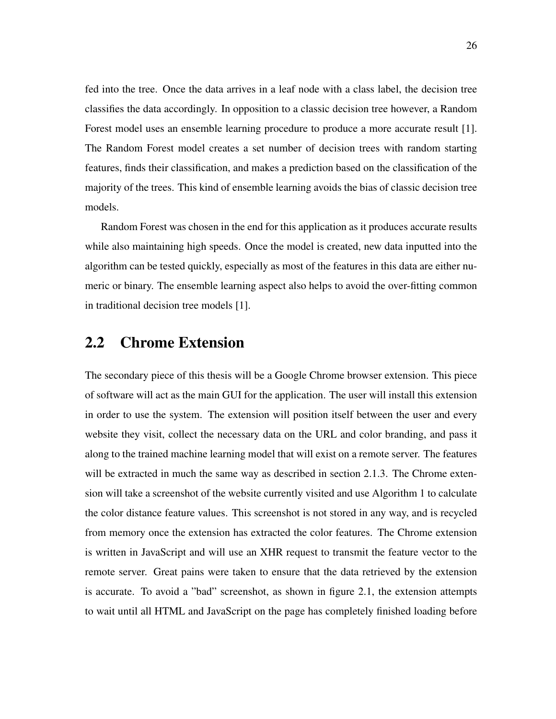fed into the tree. Once the data arrives in a leaf node with a class label, the decision tree classifies the data accordingly. In opposition to a classic decision tree however, a Random Forest model uses an ensemble learning procedure to produce a more accurate result [1]. The Random Forest model creates a set number of decision trees with random starting features, finds their classification, and makes a prediction based on the classification of the majority of the trees. This kind of ensemble learning avoids the bias of classic decision tree models.

Random Forest was chosen in the end for this application as it produces accurate results while also maintaining high speeds. Once the model is created, new data inputted into the algorithm can be tested quickly, especially as most of the features in this data are either numeric or binary. The ensemble learning aspect also helps to avoid the over-fitting common in traditional decision tree models [1].

### 2.2 Chrome Extension

The secondary piece of this thesis will be a Google Chrome browser extension. This piece of software will act as the main GUI for the application. The user will install this extension in order to use the system. The extension will position itself between the user and every website they visit, collect the necessary data on the URL and color branding, and pass it along to the trained machine learning model that will exist on a remote server. The features will be extracted in much the same way as described in section 2.1.3. The Chrome extension will take a screenshot of the website currently visited and use Algorithm 1 to calculate the color distance feature values. This screenshot is not stored in any way, and is recycled from memory once the extension has extracted the color features. The Chrome extension is written in JavaScript and will use an XHR request to transmit the feature vector to the remote server. Great pains were taken to ensure that the data retrieved by the extension is accurate. To avoid a "bad" screenshot, as shown in figure 2.1, the extension attempts to wait until all HTML and JavaScript on the page has completely finished loading before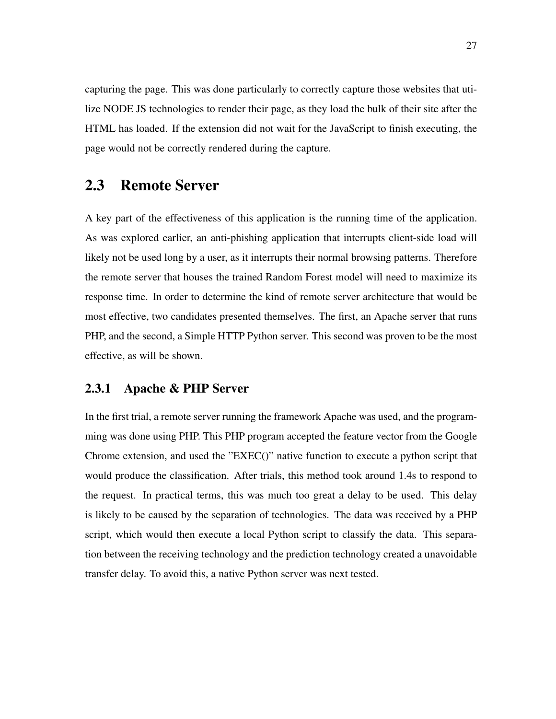capturing the page. This was done particularly to correctly capture those websites that utilize NODE JS technologies to render their page, as they load the bulk of their site after the HTML has loaded. If the extension did not wait for the JavaScript to finish executing, the page would not be correctly rendered during the capture.

### 2.3 Remote Server

A key part of the effectiveness of this application is the running time of the application. As was explored earlier, an anti-phishing application that interrupts client-side load will likely not be used long by a user, as it interrupts their normal browsing patterns. Therefore the remote server that houses the trained Random Forest model will need to maximize its response time. In order to determine the kind of remote server architecture that would be most effective, two candidates presented themselves. The first, an Apache server that runs PHP, and the second, a Simple HTTP Python server. This second was proven to be the most effective, as will be shown.

#### 2.3.1 Apache & PHP Server

In the first trial, a remote server running the framework Apache was used, and the programming was done using PHP. This PHP program accepted the feature vector from the Google Chrome extension, and used the "EXEC()" native function to execute a python script that would produce the classification. After trials, this method took around 1.4s to respond to the request. In practical terms, this was much too great a delay to be used. This delay is likely to be caused by the separation of technologies. The data was received by a PHP script, which would then execute a local Python script to classify the data. This separation between the receiving technology and the prediction technology created a unavoidable transfer delay. To avoid this, a native Python server was next tested.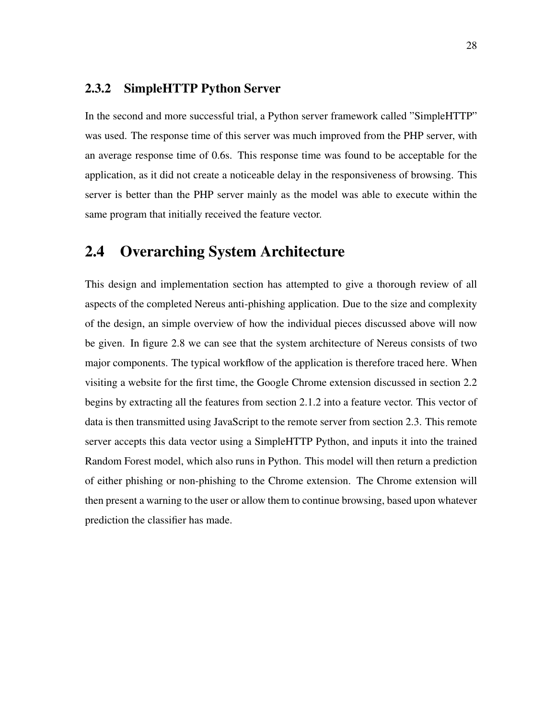#### 2.3.2 SimpleHTTP Python Server

In the second and more successful trial, a Python server framework called "SimpleHTTP" was used. The response time of this server was much improved from the PHP server, with an average response time of 0.6s. This response time was found to be acceptable for the application, as it did not create a noticeable delay in the responsiveness of browsing. This server is better than the PHP server mainly as the model was able to execute within the same program that initially received the feature vector.

### 2.4 Overarching System Architecture

This design and implementation section has attempted to give a thorough review of all aspects of the completed Nereus anti-phishing application. Due to the size and complexity of the design, an simple overview of how the individual pieces discussed above will now be given. In figure 2.8 we can see that the system architecture of Nereus consists of two major components. The typical workflow of the application is therefore traced here. When visiting a website for the first time, the Google Chrome extension discussed in section 2.2 begins by extracting all the features from section 2.1.2 into a feature vector. This vector of data is then transmitted using JavaScript to the remote server from section 2.3. This remote server accepts this data vector using a SimpleHTTP Python, and inputs it into the trained Random Forest model, which also runs in Python. This model will then return a prediction of either phishing or non-phishing to the Chrome extension. The Chrome extension will then present a warning to the user or allow them to continue browsing, based upon whatever prediction the classifier has made.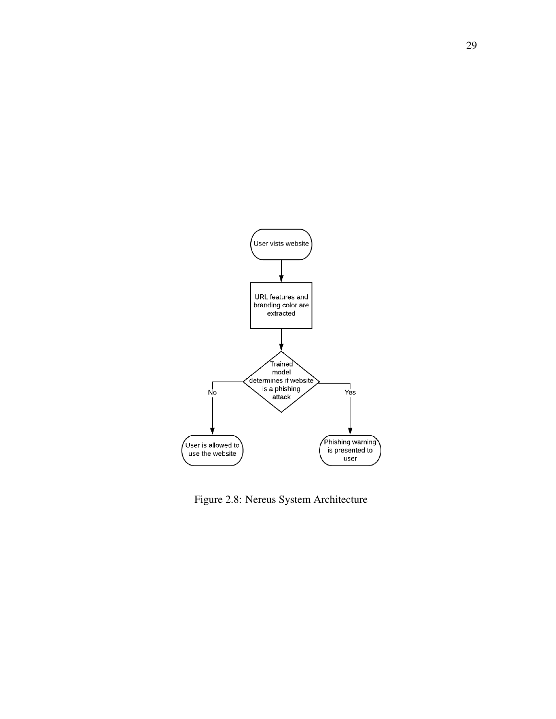

Figure 2.8: Nereus System Architecture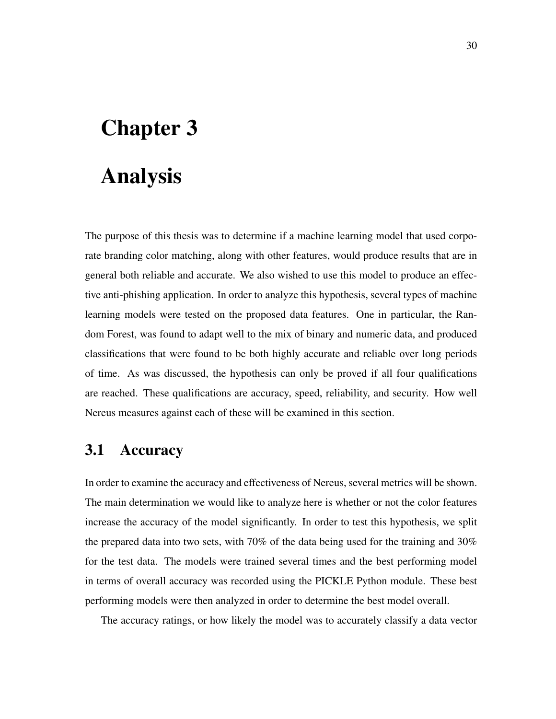# Chapter 3

# Analysis

The purpose of this thesis was to determine if a machine learning model that used corporate branding color matching, along with other features, would produce results that are in general both reliable and accurate. We also wished to use this model to produce an effective anti-phishing application. In order to analyze this hypothesis, several types of machine learning models were tested on the proposed data features. One in particular, the Random Forest, was found to adapt well to the mix of binary and numeric data, and produced classifications that were found to be both highly accurate and reliable over long periods of time. As was discussed, the hypothesis can only be proved if all four qualifications are reached. These qualifications are accuracy, speed, reliability, and security. How well Nereus measures against each of these will be examined in this section.

## 3.1 Accuracy

In order to examine the accuracy and effectiveness of Nereus, several metrics will be shown. The main determination we would like to analyze here is whether or not the color features increase the accuracy of the model significantly. In order to test this hypothesis, we split the prepared data into two sets, with 70% of the data being used for the training and 30% for the test data. The models were trained several times and the best performing model in terms of overall accuracy was recorded using the PICKLE Python module. These best performing models were then analyzed in order to determine the best model overall.

The accuracy ratings, or how likely the model was to accurately classify a data vector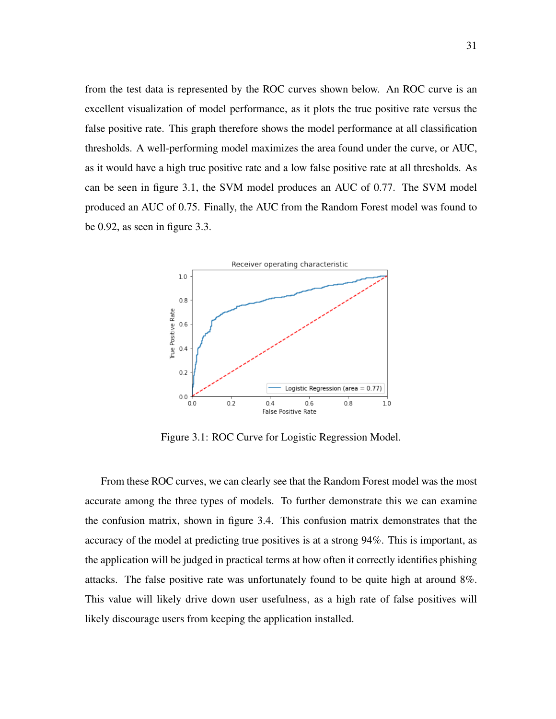from the test data is represented by the ROC curves shown below. An ROC curve is an excellent visualization of model performance, as it plots the true positive rate versus the false positive rate. This graph therefore shows the model performance at all classification thresholds. A well-performing model maximizes the area found under the curve, or AUC, as it would have a high true positive rate and a low false positive rate at all thresholds. As can be seen in figure 3.1, the SVM model produces an AUC of 0.77. The SVM model produced an AUC of 0.75. Finally, the AUC from the Random Forest model was found to be 0.92, as seen in figure 3.3.



Figure 3.1: ROC Curve for Logistic Regression Model.

From these ROC curves, we can clearly see that the Random Forest model was the most accurate among the three types of models. To further demonstrate this we can examine the confusion matrix, shown in figure 3.4. This confusion matrix demonstrates that the accuracy of the model at predicting true positives is at a strong 94%. This is important, as the application will be judged in practical terms at how often it correctly identifies phishing attacks. The false positive rate was unfortunately found to be quite high at around 8%. This value will likely drive down user usefulness, as a high rate of false positives will likely discourage users from keeping the application installed.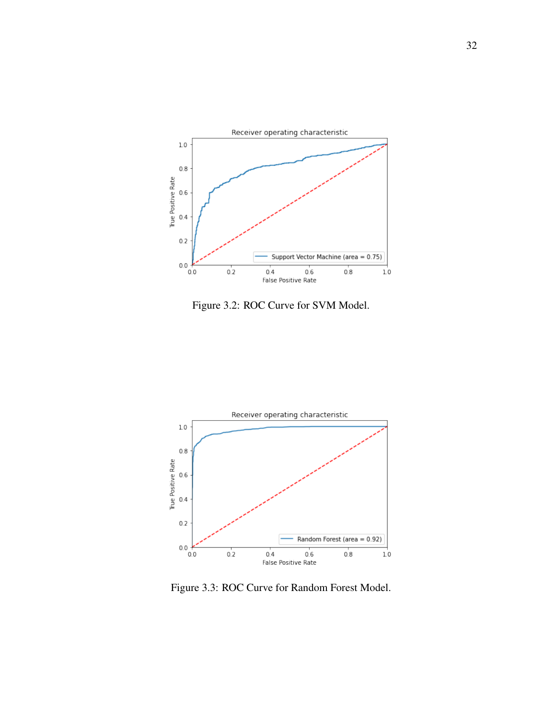

Figure 3.2: ROC Curve for SVM Model.



Figure 3.3: ROC Curve for Random Forest Model.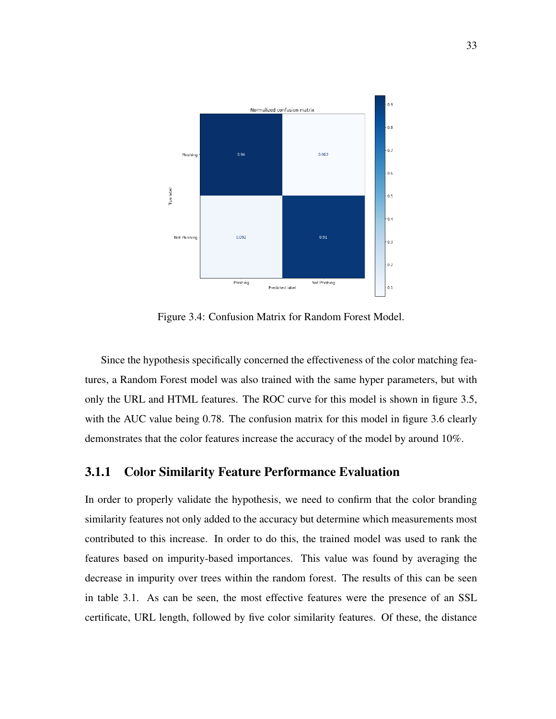

Figure 3.4: Confusion Matrix for Random Forest Model.

Since the hypothesis specifically concerned the effectiveness of the color matching features, a Random Forest model was also trained with the same hyper parameters, but with only the URL and HTML features. The ROC curve for this model is shown in figure 3.5, with the AUC value being 0.78. The confusion matrix for this model in figure 3.6 clearly demonstrates that the color features increase the accuracy of the model by around 10%.

#### 3.1.1 Color Similarity Feature Performance Evaluation

In order to properly validate the hypothesis, we need to confirm that the color branding similarity features not only added to the accuracy but determine which measurements most contributed to this increase. In order to do this, the trained model was used to rank the features based on impurity-based importances. This value was found by averaging the decrease in impurity over trees within the random forest. The results of this can be seen in table 3.1. As can be seen, the most effective features were the presence of an SSL certificate, URL length, followed by five color similarity features. Of these, the distance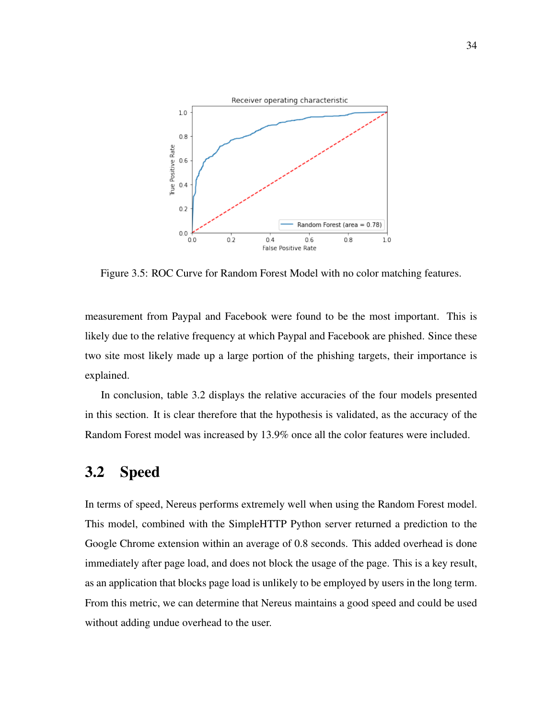

Figure 3.5: ROC Curve for Random Forest Model with no color matching features.

measurement from Paypal and Facebook were found to be the most important. This is likely due to the relative frequency at which Paypal and Facebook are phished. Since these two site most likely made up a large portion of the phishing targets, their importance is explained.

In conclusion, table 3.2 displays the relative accuracies of the four models presented in this section. It is clear therefore that the hypothesis is validated, as the accuracy of the Random Forest model was increased by 13.9% once all the color features were included.

### 3.2 Speed

In terms of speed, Nereus performs extremely well when using the Random Forest model. This model, combined with the SimpleHTTP Python server returned a prediction to the Google Chrome extension within an average of 0.8 seconds. This added overhead is done immediately after page load, and does not block the usage of the page. This is a key result, as an application that blocks page load is unlikely to be employed by users in the long term. From this metric, we can determine that Nereus maintains a good speed and could be used without adding undue overhead to the user.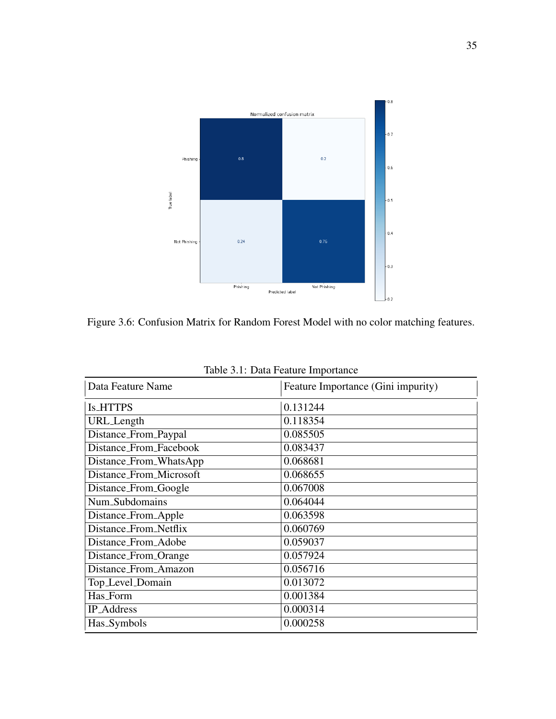

Figure 3.6: Confusion Matrix for Random Forest Model with no color matching features.

| Data Feature Name       | Feature Importance (Gini impurity) |  |  |  |
|-------------------------|------------------------------------|--|--|--|
| <b>Is_HTTPS</b>         | 0.131244                           |  |  |  |
| URL_Length              | 0.118354                           |  |  |  |
| Distance_From_Paypal    | 0.085505                           |  |  |  |
| Distance_From_Facebook  | 0.083437                           |  |  |  |
| Distance_From_WhatsApp  | 0.068681                           |  |  |  |
| Distance_From_Microsoft | 0.068655                           |  |  |  |
| Distance_From_Google    | 0.067008                           |  |  |  |
| Num_Subdomains          | 0.064044                           |  |  |  |
| Distance_From_Apple     | 0.063598                           |  |  |  |
| Distance_From_Netflix   | 0.060769                           |  |  |  |
| Distance_From_Adobe     | 0.059037                           |  |  |  |
| Distance_From_Orange    | 0.057924                           |  |  |  |
| Distance_From_Amazon    | 0.056716                           |  |  |  |
| Top_Level_Domain        | 0.013072                           |  |  |  |
| Has_Form                | 0.001384                           |  |  |  |
| <b>IP_Address</b>       | 0.000314                           |  |  |  |
| Has_Symbols             | 0.000258                           |  |  |  |

Table 3.1: Data Feature Importance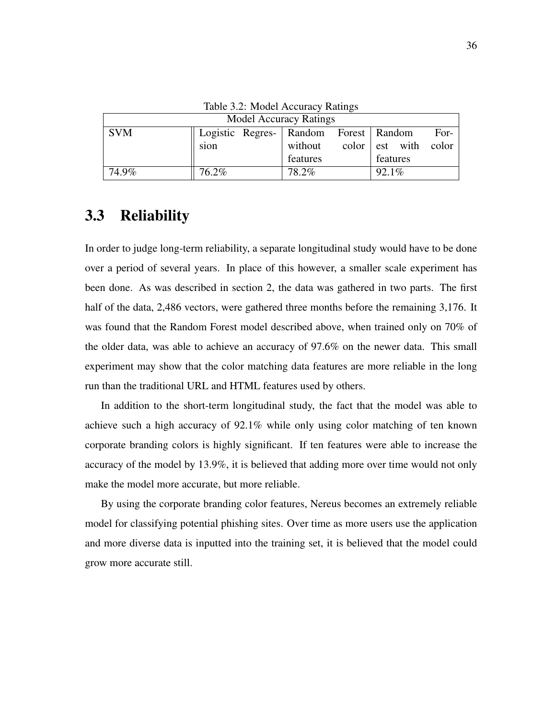| <b>Model Accuracy Ratings</b> |       |  |          |  |                                       |  |                           |  |
|-------------------------------|-------|--|----------|--|---------------------------------------|--|---------------------------|--|
| <b>SVM</b>                    |       |  |          |  | Logistic Regres- Random Forest Random |  | For- $\vert$              |  |
|                               | sion  |  | without  |  |                                       |  | $color \ $ est with color |  |
|                               |       |  | features |  | features                              |  |                           |  |
| 74.9%                         | 76.2% |  | 78.2%    |  | 92.1%                                 |  |                           |  |

Table 3.2: Model Accuracy Ratings

### 3.3 Reliability

In order to judge long-term reliability, a separate longitudinal study would have to be done over a period of several years. In place of this however, a smaller scale experiment has been done. As was described in section 2, the data was gathered in two parts. The first half of the data, 2,486 vectors, were gathered three months before the remaining 3,176. It was found that the Random Forest model described above, when trained only on 70% of the older data, was able to achieve an accuracy of 97.6% on the newer data. This small experiment may show that the color matching data features are more reliable in the long run than the traditional URL and HTML features used by others.

In addition to the short-term longitudinal study, the fact that the model was able to achieve such a high accuracy of 92.1% while only using color matching of ten known corporate branding colors is highly significant. If ten features were able to increase the accuracy of the model by 13.9%, it is believed that adding more over time would not only make the model more accurate, but more reliable.

By using the corporate branding color features, Nereus becomes an extremely reliable model for classifying potential phishing sites. Over time as more users use the application and more diverse data is inputted into the training set, it is believed that the model could grow more accurate still.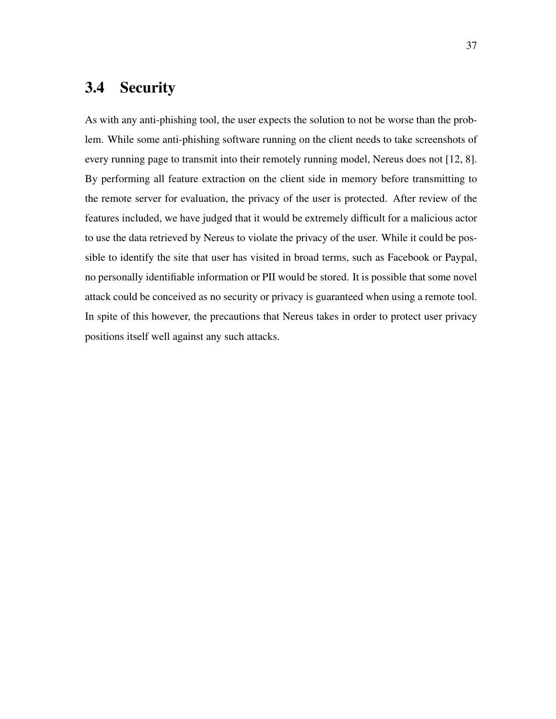## 3.4 Security

As with any anti-phishing tool, the user expects the solution to not be worse than the problem. While some anti-phishing software running on the client needs to take screenshots of every running page to transmit into their remotely running model, Nereus does not [12, 8]. By performing all feature extraction on the client side in memory before transmitting to the remote server for evaluation, the privacy of the user is protected. After review of the features included, we have judged that it would be extremely difficult for a malicious actor to use the data retrieved by Nereus to violate the privacy of the user. While it could be possible to identify the site that user has visited in broad terms, such as Facebook or Paypal, no personally identifiable information or PII would be stored. It is possible that some novel attack could be conceived as no security or privacy is guaranteed when using a remote tool. In spite of this however, the precautions that Nereus takes in order to protect user privacy positions itself well against any such attacks.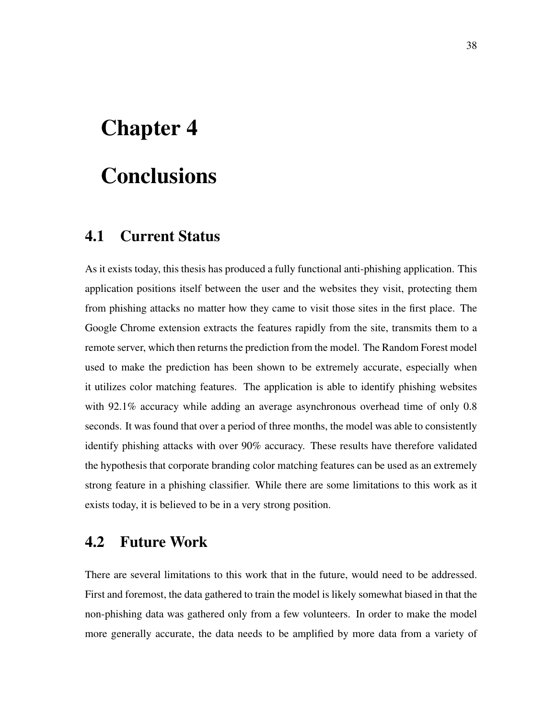# Chapter 4

# **Conclusions**

### 4.1 Current Status

As it exists today, this thesis has produced a fully functional anti-phishing application. This application positions itself between the user and the websites they visit, protecting them from phishing attacks no matter how they came to visit those sites in the first place. The Google Chrome extension extracts the features rapidly from the site, transmits them to a remote server, which then returns the prediction from the model. The Random Forest model used to make the prediction has been shown to be extremely accurate, especially when it utilizes color matching features. The application is able to identify phishing websites with 92.1% accuracy while adding an average asynchronous overhead time of only 0.8 seconds. It was found that over a period of three months, the model was able to consistently identify phishing attacks with over 90% accuracy. These results have therefore validated the hypothesis that corporate branding color matching features can be used as an extremely strong feature in a phishing classifier. While there are some limitations to this work as it exists today, it is believed to be in a very strong position.

# 4.2 Future Work

There are several limitations to this work that in the future, would need to be addressed. First and foremost, the data gathered to train the model is likely somewhat biased in that the non-phishing data was gathered only from a few volunteers. In order to make the model more generally accurate, the data needs to be amplified by more data from a variety of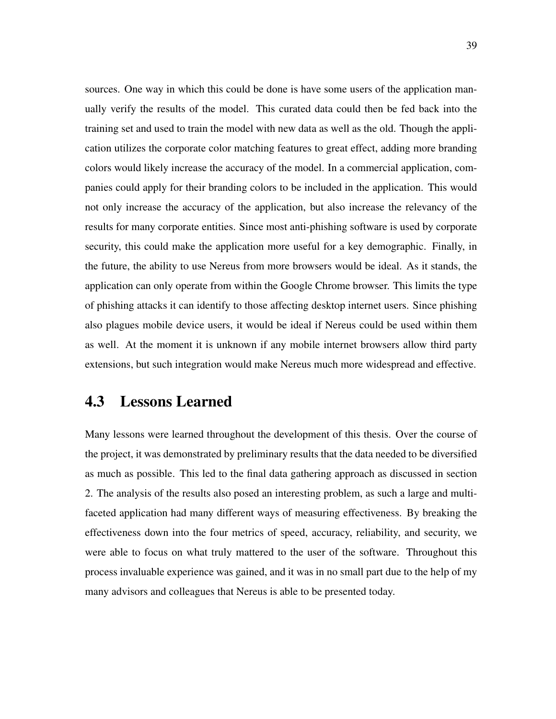sources. One way in which this could be done is have some users of the application manually verify the results of the model. This curated data could then be fed back into the training set and used to train the model with new data as well as the old. Though the application utilizes the corporate color matching features to great effect, adding more branding colors would likely increase the accuracy of the model. In a commercial application, companies could apply for their branding colors to be included in the application. This would not only increase the accuracy of the application, but also increase the relevancy of the results for many corporate entities. Since most anti-phishing software is used by corporate security, this could make the application more useful for a key demographic. Finally, in the future, the ability to use Nereus from more browsers would be ideal. As it stands, the application can only operate from within the Google Chrome browser. This limits the type of phishing attacks it can identify to those affecting desktop internet users. Since phishing also plagues mobile device users, it would be ideal if Nereus could be used within them as well. At the moment it is unknown if any mobile internet browsers allow third party extensions, but such integration would make Nereus much more widespread and effective.

### 4.3 Lessons Learned

Many lessons were learned throughout the development of this thesis. Over the course of the project, it was demonstrated by preliminary results that the data needed to be diversified as much as possible. This led to the final data gathering approach as discussed in section 2. The analysis of the results also posed an interesting problem, as such a large and multifaceted application had many different ways of measuring effectiveness. By breaking the effectiveness down into the four metrics of speed, accuracy, reliability, and security, we were able to focus on what truly mattered to the user of the software. Throughout this process invaluable experience was gained, and it was in no small part due to the help of my many advisors and colleagues that Nereus is able to be presented today.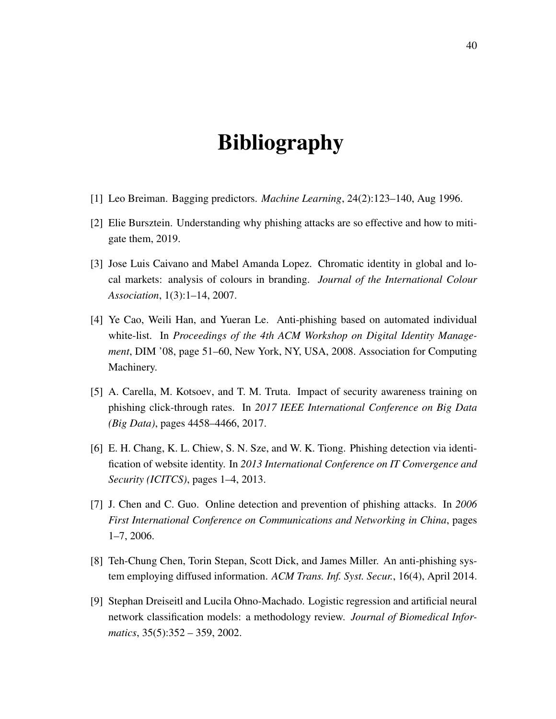# Bibliography

- [1] Leo Breiman. Bagging predictors. *Machine Learning*, 24(2):123–140, Aug 1996.
- [2] Elie Bursztein. Understanding why phishing attacks are so effective and how to mitigate them, 2019.
- [3] Jose Luis Caivano and Mabel Amanda Lopez. Chromatic identity in global and local markets: analysis of colours in branding. *Journal of the International Colour Association*, 1(3):1–14, 2007.
- [4] Ye Cao, Weili Han, and Yueran Le. Anti-phishing based on automated individual white-list. In *Proceedings of the 4th ACM Workshop on Digital Identity Management*, DIM '08, page 51–60, New York, NY, USA, 2008. Association for Computing Machinery.
- [5] A. Carella, M. Kotsoev, and T. M. Truta. Impact of security awareness training on phishing click-through rates. In *2017 IEEE International Conference on Big Data (Big Data)*, pages 4458–4466, 2017.
- [6] E. H. Chang, K. L. Chiew, S. N. Sze, and W. K. Tiong. Phishing detection via identification of website identity. In *2013 International Conference on IT Convergence and Security (ICITCS)*, pages 1–4, 2013.
- [7] J. Chen and C. Guo. Online detection and prevention of phishing attacks. In *2006 First International Conference on Communications and Networking in China*, pages 1–7, 2006.
- [8] Teh-Chung Chen, Torin Stepan, Scott Dick, and James Miller. An anti-phishing system employing diffused information. *ACM Trans. Inf. Syst. Secur.*, 16(4), April 2014.
- [9] Stephan Dreiseitl and Lucila Ohno-Machado. Logistic regression and artificial neural network classification models: a methodology review. *Journal of Biomedical Informatics*, 35(5):352 – 359, 2002.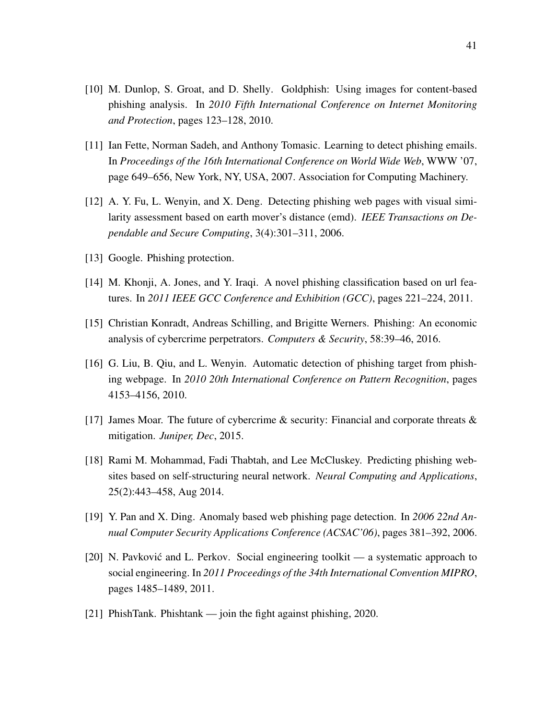- [10] M. Dunlop, S. Groat, and D. Shelly. Goldphish: Using images for content-based phishing analysis. In *2010 Fifth International Conference on Internet Monitoring and Protection*, pages 123–128, 2010.
- [11] Ian Fette, Norman Sadeh, and Anthony Tomasic. Learning to detect phishing emails. In *Proceedings of the 16th International Conference on World Wide Web*, WWW '07, page 649–656, New York, NY, USA, 2007. Association for Computing Machinery.
- [12] A. Y. Fu, L. Wenyin, and X. Deng. Detecting phishing web pages with visual similarity assessment based on earth mover's distance (emd). *IEEE Transactions on Dependable and Secure Computing*, 3(4):301–311, 2006.
- [13] Google. Phishing protection.
- [14] M. Khonji, A. Jones, and Y. Iraqi. A novel phishing classification based on url features. In *2011 IEEE GCC Conference and Exhibition (GCC)*, pages 221–224, 2011.
- [15] Christian Konradt, Andreas Schilling, and Brigitte Werners. Phishing: An economic analysis of cybercrime perpetrators. *Computers & Security*, 58:39–46, 2016.
- [16] G. Liu, B. Qiu, and L. Wenyin. Automatic detection of phishing target from phishing webpage. In *2010 20th International Conference on Pattern Recognition*, pages 4153–4156, 2010.
- [17] James Moar. The future of cybercrime  $\&$  security: Financial and corporate threats  $\&$ mitigation. *Juniper, Dec*, 2015.
- [18] Rami M. Mohammad, Fadi Thabtah, and Lee McCluskey. Predicting phishing websites based on self-structuring neural network. *Neural Computing and Applications*, 25(2):443–458, Aug 2014.
- [19] Y. Pan and X. Ding. Anomaly based web phishing page detection. In *2006 22nd Annual Computer Security Applications Conference (ACSAC'06)*, pages 381–392, 2006.
- [20] N. Pavković and L. Perkov. Social engineering toolkit a systematic approach to social engineering. In *2011 Proceedings of the 34th International Convention MIPRO*, pages 1485–1489, 2011.
- [21] PhishTank. Phishtank join the fight against phishing, 2020.